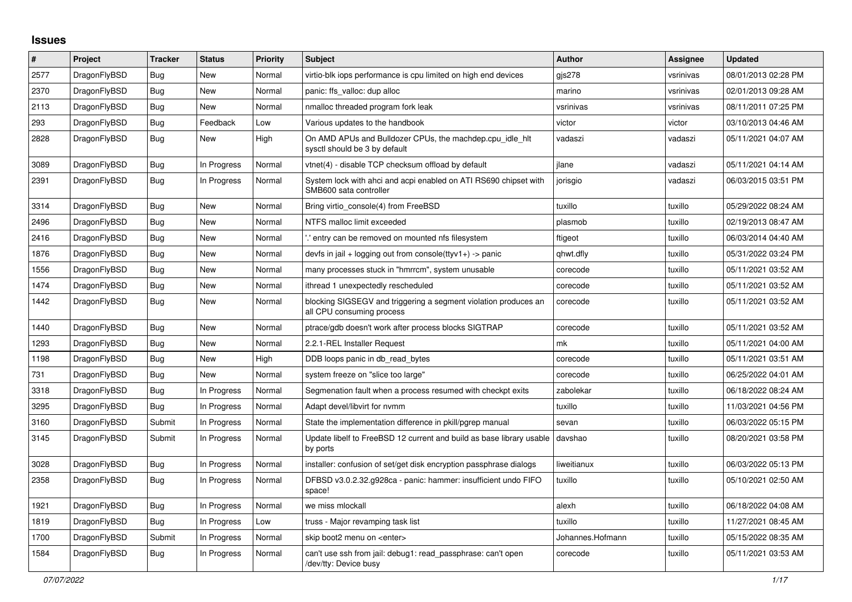## **Issues**

| $\#$ | Project      | <b>Tracker</b> | <b>Status</b> | <b>Priority</b> | <b>Subject</b>                                                                               | <b>Author</b>    | Assignee  | Updated             |
|------|--------------|----------------|---------------|-----------------|----------------------------------------------------------------------------------------------|------------------|-----------|---------------------|
| 2577 | DragonFlyBSD | Bug            | New           | Normal          | virtio-blk iops performance is cpu limited on high end devices                               | gjs278           | vsrinivas | 08/01/2013 02:28 PM |
| 2370 | DragonFlyBSD | <b>Bug</b>     | New           | Normal          | panic: ffs valloc: dup alloc                                                                 | marino           | vsrinivas | 02/01/2013 09:28 AM |
| 2113 | DragonFlyBSD | Bug            | New           | Normal          | nmalloc threaded program fork leak                                                           | vsrinivas        | vsrinivas | 08/11/2011 07:25 PM |
| 293  | DragonFlyBSD | Bug            | Feedback      | Low             | Various updates to the handbook                                                              | victor           | victor    | 03/10/2013 04:46 AM |
| 2828 | DragonFlyBSD | <b>Bug</b>     | New           | High            | On AMD APUs and Bulldozer CPUs, the machdep.cpu_idle_hlt<br>sysctl should be 3 by default    | vadaszi          | vadaszi   | 05/11/2021 04:07 AM |
| 3089 | DragonFlyBSD | Bug            | In Progress   | Normal          | vtnet(4) - disable TCP checksum offload by default                                           | ilane            | vadaszi   | 05/11/2021 04:14 AM |
| 2391 | DragonFlyBSD | <b>Bug</b>     | In Progress   | Normal          | System lock with ahci and acpi enabled on ATI RS690 chipset with<br>SMB600 sata controller   | jorisgio         | vadaszi   | 06/03/2015 03:51 PM |
| 3314 | DragonFlyBSD | Bug            | New           | Normal          | Bring virtio console(4) from FreeBSD                                                         | tuxillo          | tuxillo   | 05/29/2022 08:24 AM |
| 2496 | DragonFlyBSD | Bug            | New           | Normal          | NTFS malloc limit exceeded                                                                   | plasmob          | tuxillo   | 02/19/2013 08:47 AM |
| 2416 | DragonFlyBSD | <b>Bug</b>     | New           | Normal          | ".' entry can be removed on mounted nfs filesystem                                           | ftigeot          | tuxillo   | 06/03/2014 04:40 AM |
| 1876 | DragonFlyBSD | <b>Bug</b>     | New           | Normal          | devfs in jail + logging out from console(ttyv1+) -> panic                                    | qhwt.dfly        | tuxillo   | 05/31/2022 03:24 PM |
| 1556 | DragonFlyBSD | <b>Bug</b>     | New           | Normal          | many processes stuck in "hmrrcm", system unusable                                            | corecode         | tuxillo   | 05/11/2021 03:52 AM |
| 1474 | DragonFlyBSD | Bug            | New           | Normal          | ithread 1 unexpectedly rescheduled                                                           | corecode         | tuxillo   | 05/11/2021 03:52 AM |
| 1442 | DragonFlyBSD | Bug            | <b>New</b>    | Normal          | blocking SIGSEGV and triggering a segment violation produces an<br>all CPU consuming process | corecode         | tuxillo   | 05/11/2021 03:52 AM |
| 1440 | DragonFlyBSD | Bug            | <b>New</b>    | Normal          | ptrace/gdb doesn't work after process blocks SIGTRAP                                         | corecode         | tuxillo   | 05/11/2021 03:52 AM |
| 1293 | DragonFlyBSD | Bug            | <b>New</b>    | Normal          | 2.2.1-REL Installer Request                                                                  | mk               | tuxillo   | 05/11/2021 04:00 AM |
| 1198 | DragonFlyBSD | Bug            | New           | High            | DDB loops panic in db read bytes                                                             | corecode         | tuxillo   | 05/11/2021 03:51 AM |
| 731  | DragonFlyBSD | Bug            | New           | Normal          | system freeze on "slice too large"                                                           | corecode         | tuxillo   | 06/25/2022 04:01 AM |
| 3318 | DragonFlyBSD | Bug            | In Progress   | Normal          | Segmenation fault when a process resumed with checkpt exits                                  | zabolekar        | tuxillo   | 06/18/2022 08:24 AM |
| 3295 | DragonFlyBSD | Bug            | In Progress   | Normal          | Adapt devel/libvirt for nymm                                                                 | tuxillo          | tuxillo   | 11/03/2021 04:56 PM |
| 3160 | DragonFlyBSD | Submit         | In Progress   | Normal          | State the implementation difference in pkill/pgrep manual                                    | sevan            | tuxillo   | 06/03/2022 05:15 PM |
| 3145 | DragonFlyBSD | Submit         | In Progress   | Normal          | Update libelf to FreeBSD 12 current and build as base library usable<br>by ports             | davshao          | tuxillo   | 08/20/2021 03:58 PM |
| 3028 | DragonFlyBSD | <b>Bug</b>     | In Progress   | Normal          | installer: confusion of set/get disk encryption passphrase dialogs                           | liweitianux      | tuxillo   | 06/03/2022 05:13 PM |
| 2358 | DragonFlyBSD | <b>Bug</b>     | In Progress   | Normal          | DFBSD v3.0.2.32.g928ca - panic: hammer: insufficient undo FIFO<br>space!                     | tuxillo          | tuxillo   | 05/10/2021 02:50 AM |
| 1921 | DragonFlyBSD | Bug            | In Progress   | Normal          | we miss mlockall                                                                             | alexh            | tuxillo   | 06/18/2022 04:08 AM |
| 1819 | DragonFlyBSD | <b>Bug</b>     | In Progress   | Low             | truss - Major revamping task list                                                            | tuxillo          | tuxillo   | 11/27/2021 08:45 AM |
| 1700 | DragonFlyBSD | Submit         | In Progress   | Normal          | skip boot2 menu on <enter></enter>                                                           | Johannes.Hofmann | tuxillo   | 05/15/2022 08:35 AM |
| 1584 | DragonFlyBSD | <b>Bug</b>     | In Progress   | Normal          | can't use ssh from jail: debug1: read passphrase: can't open<br>/dev/tty: Device busy        | corecode         | tuxillo   | 05/11/2021 03:53 AM |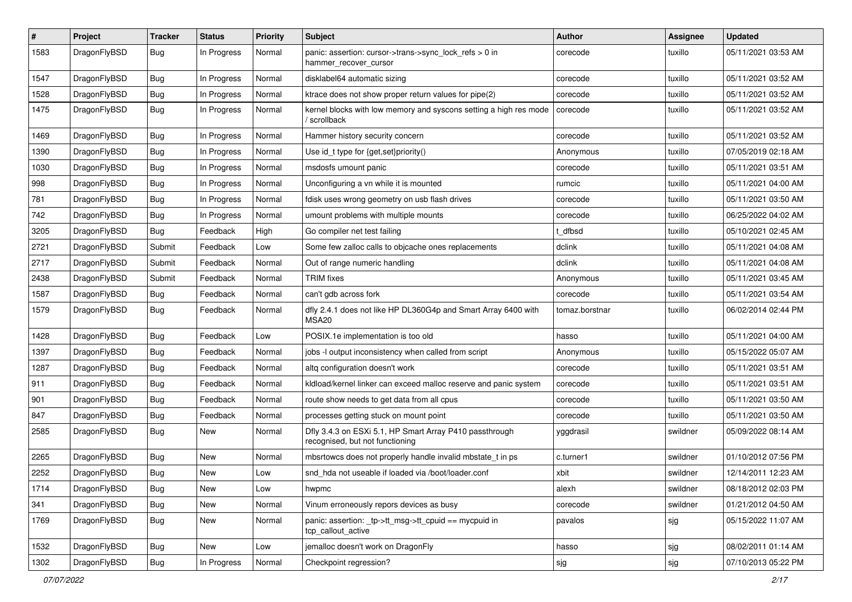| #    | Project      | <b>Tracker</b> | <b>Status</b> | <b>Priority</b> | Subject                                                                                    | <b>Author</b>  | <b>Assignee</b> | <b>Updated</b>      |
|------|--------------|----------------|---------------|-----------------|--------------------------------------------------------------------------------------------|----------------|-----------------|---------------------|
| 1583 | DragonFlyBSD | Bug            | In Progress   | Normal          | panic: assertion: cursor->trans->sync_lock_refs > 0 in<br>hammer_recover_cursor            | corecode       | tuxillo         | 05/11/2021 03:53 AM |
| 1547 | DragonFlyBSD | Bug            | In Progress   | Normal          | disklabel64 automatic sizing                                                               | corecode       | tuxillo         | 05/11/2021 03:52 AM |
| 1528 | DragonFlyBSD | <b>Bug</b>     | In Progress   | Normal          | ktrace does not show proper return values for pipe(2)                                      | corecode       | tuxillo         | 05/11/2021 03:52 AM |
| 1475 | DragonFlyBSD | Bug            | In Progress   | Normal          | kernel blocks with low memory and syscons setting a high res mode<br>/ scrollback          | corecode       | tuxillo         | 05/11/2021 03:52 AM |
| 1469 | DragonFlyBSD | Bug            | In Progress   | Normal          | Hammer history security concern                                                            | corecode       | tuxillo         | 05/11/2021 03:52 AM |
| 1390 | DragonFlyBSD | Bug            | In Progress   | Normal          | Use id_t type for {get,set}priority()                                                      | Anonymous      | tuxillo         | 07/05/2019 02:18 AM |
| 1030 | DragonFlyBSD | <b>Bug</b>     | In Progress   | Normal          | msdosfs umount panic                                                                       | corecode       | tuxillo         | 05/11/2021 03:51 AM |
| 998  | DragonFlyBSD | Bug            | In Progress   | Normal          | Unconfiguring a vn while it is mounted                                                     | rumcic         | tuxillo         | 05/11/2021 04:00 AM |
| 781  | DragonFlyBSD | Bug            | In Progress   | Normal          | fdisk uses wrong geometry on usb flash drives                                              | corecode       | tuxillo         | 05/11/2021 03:50 AM |
| 742  | DragonFlyBSD | Bug            | In Progress   | Normal          | umount problems with multiple mounts                                                       | corecode       | tuxillo         | 06/25/2022 04:02 AM |
| 3205 | DragonFlyBSD | Bug            | Feedback      | High            | Go compiler net test failing                                                               | t dfbsd        | tuxillo         | 05/10/2021 02:45 AM |
| 2721 | DragonFlyBSD | Submit         | Feedback      | Low             | Some few zalloc calls to objcache ones replacements                                        | dclink         | tuxillo         | 05/11/2021 04:08 AM |
| 2717 | DragonFlyBSD | Submit         | Feedback      | Normal          | Out of range numeric handling                                                              | dclink         | tuxillo         | 05/11/2021 04:08 AM |
| 2438 | DragonFlyBSD | Submit         | Feedback      | Normal          | <b>TRIM</b> fixes                                                                          | Anonymous      | tuxillo         | 05/11/2021 03:45 AM |
| 1587 | DragonFlyBSD | Bug            | Feedback      | Normal          | can't gdb across fork                                                                      | corecode       | tuxillo         | 05/11/2021 03:54 AM |
| 1579 | DragonFlyBSD | Bug            | Feedback      | Normal          | dfly 2.4.1 does not like HP DL360G4p and Smart Array 6400 with<br>MSA20                    | tomaz.borstnar | tuxillo         | 06/02/2014 02:44 PM |
| 1428 | DragonFlyBSD | Bug            | Feedback      | Low             | POSIX.1e implementation is too old                                                         | hasso          | tuxillo         | 05/11/2021 04:00 AM |
| 1397 | DragonFlyBSD | Bug            | Feedback      | Normal          | jobs -I output inconsistency when called from script                                       | Anonymous      | tuxillo         | 05/15/2022 05:07 AM |
| 1287 | DragonFlyBSD | <b>Bug</b>     | Feedback      | Normal          | altq configuration doesn't work                                                            | corecode       | tuxillo         | 05/11/2021 03:51 AM |
| 911  | DragonFlyBSD | <b>Bug</b>     | Feedback      | Normal          | kidload/kernel linker can exceed malloc reserve and panic system                           | corecode       | tuxillo         | 05/11/2021 03:51 AM |
| 901  | DragonFlyBSD | <b>Bug</b>     | Feedback      | Normal          | route show needs to get data from all cpus                                                 | corecode       | tuxillo         | 05/11/2021 03:50 AM |
| 847  | DragonFlyBSD | Bug            | Feedback      | Normal          | processes getting stuck on mount point                                                     | corecode       | tuxillo         | 05/11/2021 03:50 AM |
| 2585 | DragonFlyBSD | Bug            | New           | Normal          | Dfly 3.4.3 on ESXi 5.1, HP Smart Array P410 passthrough<br>recognised, but not functioning | yggdrasil      | swildner        | 05/09/2022 08:14 AM |
| 2265 | DragonFlyBSD | <b>Bug</b>     | New           | Normal          | mbsrtowcs does not properly handle invalid mbstate_t in ps                                 | c.turner1      | swildner        | 01/10/2012 07:56 PM |
| 2252 | DragonFlyBSD | <b>Bug</b>     | New           | Low             | snd hda not useable if loaded via /boot/loader.conf                                        | xbit           | swildner        | 12/14/2011 12:23 AM |
| 1714 | DragonFlyBSD | <b>Bug</b>     | New           | Low             | hwpmc                                                                                      | alexh          | swildner        | 08/18/2012 02:03 PM |
| 341  | DragonFlyBSD | <b>Bug</b>     | <b>New</b>    | Normal          | Vinum erroneously repors devices as busy                                                   | corecode       | swildner        | 01/21/2012 04:50 AM |
| 1769 | DragonFlyBSD | <b>Bug</b>     | New           | Normal          | panic: assertion: _tp->tt_msg->tt_cpuid == mycpuid in<br>tcp_callout_active                | pavalos        | sjg             | 05/15/2022 11:07 AM |
| 1532 | DragonFlyBSD | <b>Bug</b>     | New           | Low             | jemalloc doesn't work on DragonFly                                                         | hasso          | sjg             | 08/02/2011 01:14 AM |
| 1302 | DragonFlyBSD | <b>Bug</b>     | In Progress   | Normal          | Checkpoint regression?                                                                     | sjg            | sjg             | 07/10/2013 05:22 PM |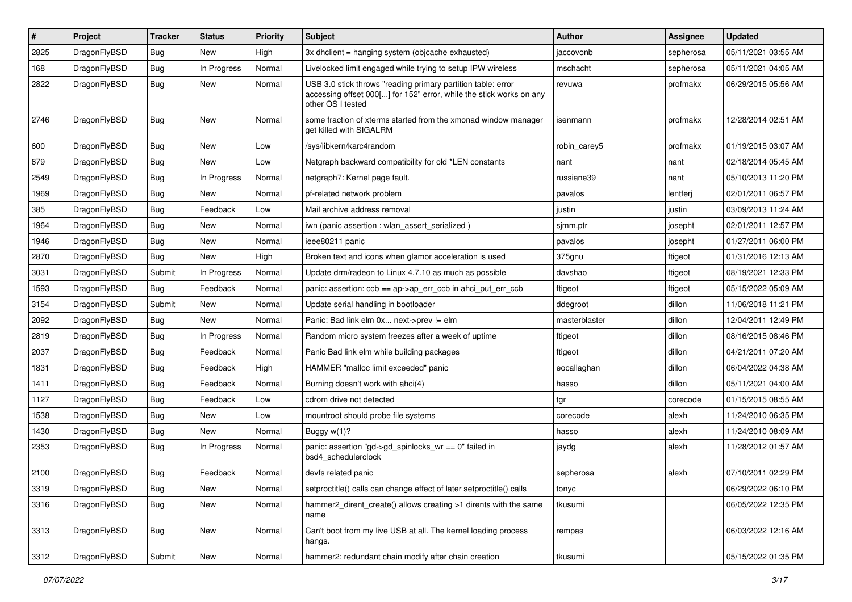| #    | Project      | <b>Tracker</b> | <b>Status</b> | <b>Priority</b> | Subject                                                                                                                                                  | <b>Author</b> | <b>Assignee</b> | <b>Updated</b>      |
|------|--------------|----------------|---------------|-----------------|----------------------------------------------------------------------------------------------------------------------------------------------------------|---------------|-----------------|---------------------|
| 2825 | DragonFlyBSD | <b>Bug</b>     | New           | High            | 3x dhclient = hanging system (objcache exhausted)                                                                                                        | jaccovonb     | sepherosa       | 05/11/2021 03:55 AM |
| 168  | DragonFlyBSD | Bug            | In Progress   | Normal          | Livelocked limit engaged while trying to setup IPW wireless                                                                                              | mschacht      | sepherosa       | 05/11/2021 04:05 AM |
| 2822 | DragonFlyBSD | Bug            | New           | Normal          | USB 3.0 stick throws "reading primary partition table: error<br>accessing offset 000[] for 152" error, while the stick works on any<br>other OS I tested | revuwa        | profmakx        | 06/29/2015 05:56 AM |
| 2746 | DragonFlyBSD | Bug            | <b>New</b>    | Normal          | some fraction of xterms started from the xmonad window manager<br>get killed with SIGALRM                                                                | isenmann      | profmakx        | 12/28/2014 02:51 AM |
| 600  | DragonFlyBSD | Bug            | <b>New</b>    | Low             | /sys/libkern/karc4random                                                                                                                                 | robin carey5  | profmakx        | 01/19/2015 03:07 AM |
| 679  | DragonFlyBSD | <b>Bug</b>     | <b>New</b>    | Low             | Netgraph backward compatibility for old *LEN constants                                                                                                   | nant          | nant            | 02/18/2014 05:45 AM |
| 2549 | DragonFlyBSD | Bug            | In Progress   | Normal          | netgraph7: Kernel page fault.                                                                                                                            | russiane39    | nant            | 05/10/2013 11:20 PM |
| 1969 | DragonFlyBSD | <b>Bug</b>     | New           | Normal          | pf-related network problem                                                                                                                               | pavalos       | lentferj        | 02/01/2011 06:57 PM |
| 385  | DragonFlyBSD | <b>Bug</b>     | Feedback      | Low             | Mail archive address removal                                                                                                                             | justin        | justin          | 03/09/2013 11:24 AM |
| 1964 | DragonFlyBSD | Bug            | <b>New</b>    | Normal          | iwn (panic assertion : wlan_assert_serialized)                                                                                                           | sjmm.ptr      | josepht         | 02/01/2011 12:57 PM |
| 1946 | DragonFlyBSD | <b>Bug</b>     | New           | Normal          | ieee80211 panic                                                                                                                                          | pavalos       | josepht         | 01/27/2011 06:00 PM |
| 2870 | DragonFlyBSD | <b>Bug</b>     | New           | High            | Broken text and icons when glamor acceleration is used                                                                                                   | 375gnu        | ftigeot         | 01/31/2016 12:13 AM |
| 3031 | DragonFlyBSD | Submit         | In Progress   | Normal          | Update drm/radeon to Linux 4.7.10 as much as possible                                                                                                    | davshao       | ftigeot         | 08/19/2021 12:33 PM |
| 1593 | DragonFlyBSD | <b>Bug</b>     | Feedback      | Normal          | panic: assertion: $ccb == ap \rightarrow ap$ err $ccb$ in ahci put err $ccb$                                                                             | ftigeot       | ftigeot         | 05/15/2022 05:09 AM |
| 3154 | DragonFlyBSD | Submit         | New           | Normal          | Update serial handling in bootloader                                                                                                                     | ddegroot      | dillon          | 11/06/2018 11:21 PM |
| 2092 | DragonFlyBSD | <b>Bug</b>     | New           | Normal          | Panic: Bad link elm 0x next->prev != elm                                                                                                                 | masterblaster | dillon          | 12/04/2011 12:49 PM |
| 2819 | DragonFlyBSD | <b>Bug</b>     | In Progress   | Normal          | Random micro system freezes after a week of uptime                                                                                                       | ftigeot       | dillon          | 08/16/2015 08:46 PM |
| 2037 | DragonFlyBSD | <b>Bug</b>     | Feedback      | Normal          | Panic Bad link elm while building packages                                                                                                               | ftigeot       | dillon          | 04/21/2011 07:20 AM |
| 1831 | DragonFlyBSD | <b>Bug</b>     | Feedback      | High            | HAMMER "malloc limit exceeded" panic                                                                                                                     | eocallaghan   | dillon          | 06/04/2022 04:38 AM |
| 1411 | DragonFlyBSD | Bug            | Feedback      | Normal          | Burning doesn't work with ahci(4)                                                                                                                        | hasso         | dillon          | 05/11/2021 04:00 AM |
| 1127 | DragonFlyBSD | <b>Bug</b>     | Feedback      | Low             | cdrom drive not detected                                                                                                                                 | tgr           | corecode        | 01/15/2015 08:55 AM |
| 1538 | DragonFlyBSD | <b>Bug</b>     | New           | Low             | mountroot should probe file systems                                                                                                                      | corecode      | alexh           | 11/24/2010 06:35 PM |
| 1430 | DragonFlyBSD | <b>Bug</b>     | <b>New</b>    | Normal          | Buggy $w(1)$ ?                                                                                                                                           | hasso         | alexh           | 11/24/2010 08:09 AM |
| 2353 | DragonFlyBSD | <b>Bug</b>     | In Progress   | Normal          | panic: assertion "gd->gd spinlocks $wr == 0$ " failed in<br>bsd4_schedulerclock                                                                          | jaydg         | alexh           | 11/28/2012 01:57 AM |
| 2100 | DragonFlyBSD | Bug            | Feedback      | Normal          | devfs related panic                                                                                                                                      | sepherosa     | alexh           | 07/10/2011 02:29 PM |
| 3319 | DragonFlyBSD | Bug            | New           | Normal          | setproctitle() calls can change effect of later setproctitle() calls                                                                                     | tonyc         |                 | 06/29/2022 06:10 PM |
| 3316 | DragonFlyBSD | <b>Bug</b>     | New           | Normal          | hammer2_dirent_create() allows creating >1 dirents with the same<br>name                                                                                 | tkusumi       |                 | 06/05/2022 12:35 PM |
| 3313 | DragonFlyBSD | Bug            | New           | Normal          | Can't boot from my live USB at all. The kernel loading process<br>hangs.                                                                                 | rempas        |                 | 06/03/2022 12:16 AM |
| 3312 | DragonFlyBSD | Submit         | New           | Normal          | hammer2: redundant chain modify after chain creation                                                                                                     | tkusumi       |                 | 05/15/2022 01:35 PM |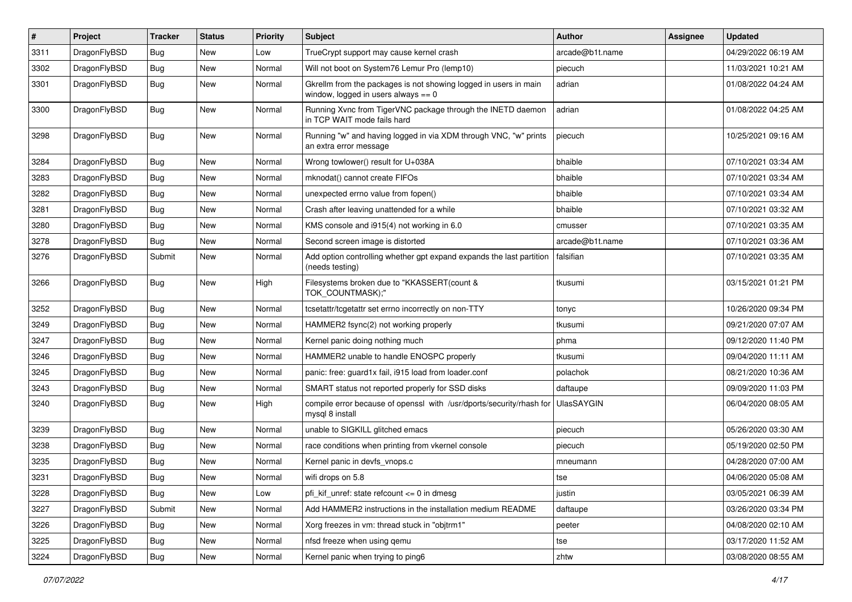| $\sharp$ | Project      | <b>Tracker</b> | <b>Status</b> | <b>Priority</b> | Subject                                                                                                   | <b>Author</b>     | <b>Assignee</b> | <b>Updated</b>      |
|----------|--------------|----------------|---------------|-----------------|-----------------------------------------------------------------------------------------------------------|-------------------|-----------------|---------------------|
| 3311     | DragonFlyBSD | <b>Bug</b>     | <b>New</b>    | Low             | TrueCrypt support may cause kernel crash                                                                  | arcade@b1t.name   |                 | 04/29/2022 06:19 AM |
| 3302     | DragonFlyBSD | Bug            | <b>New</b>    | Normal          | Will not boot on System76 Lemur Pro (lemp10)                                                              | piecuch           |                 | 11/03/2021 10:21 AM |
| 3301     | DragonFlyBSD | Bug            | New           | Normal          | Gkrellm from the packages is not showing logged in users in main<br>window, logged in users always $== 0$ | adrian            |                 | 01/08/2022 04:24 AM |
| 3300     | DragonFlyBSD | <b>Bug</b>     | New           | Normal          | Running Xvnc from TigerVNC package through the INETD daemon<br>in TCP WAIT mode fails hard                | adrian            |                 | 01/08/2022 04:25 AM |
| 3298     | DragonFlyBSD | Bug            | New           | Normal          | Running "w" and having logged in via XDM through VNC, "w" prints<br>an extra error message                | piecuch           |                 | 10/25/2021 09:16 AM |
| 3284     | DragonFlyBSD | Bug            | <b>New</b>    | Normal          | Wrong towlower() result for U+038A                                                                        | bhaible           |                 | 07/10/2021 03:34 AM |
| 3283     | DragonFlyBSD | Bug            | New           | Normal          | mknodat() cannot create FIFOs                                                                             | bhaible           |                 | 07/10/2021 03:34 AM |
| 3282     | DragonFlyBSD | <b>Bug</b>     | New           | Normal          | unexpected errno value from fopen()                                                                       | bhaible           |                 | 07/10/2021 03:34 AM |
| 3281     | DragonFlyBSD | <b>Bug</b>     | <b>New</b>    | Normal          | Crash after leaving unattended for a while                                                                | bhaible           |                 | 07/10/2021 03:32 AM |
| 3280     | DragonFlyBSD | Bug            | <b>New</b>    | Normal          | KMS console and i915(4) not working in 6.0                                                                | cmusser           |                 | 07/10/2021 03:35 AM |
| 3278     | DragonFlyBSD | <b>Bug</b>     | <b>New</b>    | Normal          | Second screen image is distorted                                                                          | arcade@b1t.name   |                 | 07/10/2021 03:36 AM |
| 3276     | DragonFlyBSD | Submit         | New           | Normal          | Add option controlling whether gpt expand expands the last partition<br>(needs testing)                   | falsifian         |                 | 07/10/2021 03:35 AM |
| 3266     | DragonFlyBSD | Bug            | New           | High            | Filesystems broken due to "KKASSERT(count &<br>TOK COUNTMASK);"                                           | tkusumi           |                 | 03/15/2021 01:21 PM |
| 3252     | DragonFlyBSD | Bug            | <b>New</b>    | Normal          | tcsetattr/tcgetattr set errno incorrectly on non-TTY                                                      | tonyc             |                 | 10/26/2020 09:34 PM |
| 3249     | DragonFlyBSD | <b>Bug</b>     | <b>New</b>    | Normal          | HAMMER2 fsync(2) not working properly                                                                     | tkusumi           |                 | 09/21/2020 07:07 AM |
| 3247     | DragonFlyBSD | Bug            | New           | Normal          | Kernel panic doing nothing much                                                                           | phma              |                 | 09/12/2020 11:40 PM |
| 3246     | DragonFlyBSD | <b>Bug</b>     | New           | Normal          | HAMMER2 unable to handle ENOSPC properly                                                                  | tkusumi           |                 | 09/04/2020 11:11 AM |
| 3245     | DragonFlyBSD | Bug            | New           | Normal          | panic: free: guard1x fail, i915 load from loader.conf                                                     | polachok          |                 | 08/21/2020 10:36 AM |
| 3243     | DragonFlyBSD | <b>Bug</b>     | New           | Normal          | SMART status not reported properly for SSD disks                                                          | daftaupe          |                 | 09/09/2020 11:03 PM |
| 3240     | DragonFlyBSD | <b>Bug</b>     | <b>New</b>    | High            | compile error because of openssl with /usr/dports/security/rhash for<br>mysql 8 install                   | <b>UlasSAYGIN</b> |                 | 06/04/2020 08:05 AM |
| 3239     | DragonFlyBSD | Bug            | New           | Normal          | unable to SIGKILL glitched emacs                                                                          | piecuch           |                 | 05/26/2020 03:30 AM |
| 3238     | DragonFlyBSD | <b>Bug</b>     | New           | Normal          | race conditions when printing from vkernel console                                                        | piecuch           |                 | 05/19/2020 02:50 PM |
| 3235     | DragonFlyBSD | <b>Bug</b>     | New           | Normal          | Kernel panic in devfs_vnops.c                                                                             | mneumann          |                 | 04/28/2020 07:00 AM |
| 3231     | DragonFlyBSD | Bug            | <b>New</b>    | Normal          | wifi drops on 5.8                                                                                         | tse               |                 | 04/06/2020 05:08 AM |
| 3228     | DragonFlyBSD | Bug            | New           | Low             | pfi_kif_unref: state refcount <= 0 in dmesg                                                               | justin            |                 | 03/05/2021 06:39 AM |
| 3227     | DragonFlyBSD | Submit         | New           | Normal          | Add HAMMER2 instructions in the installation medium README                                                | daftaupe          |                 | 03/26/2020 03:34 PM |
| 3226     | DragonFlyBSD | <b>Bug</b>     | <b>New</b>    | Normal          | Xorg freezes in vm: thread stuck in "objtrm1"                                                             | peeter            |                 | 04/08/2020 02:10 AM |
| 3225     | DragonFlyBSD | <b>Bug</b>     | <b>New</b>    | Normal          | nfsd freeze when using qemu                                                                               | tse               |                 | 03/17/2020 11:52 AM |
| 3224     | DragonFlyBSD | <b>Bug</b>     | New           | Normal          | Kernel panic when trying to ping6                                                                         | zhtw              |                 | 03/08/2020 08:55 AM |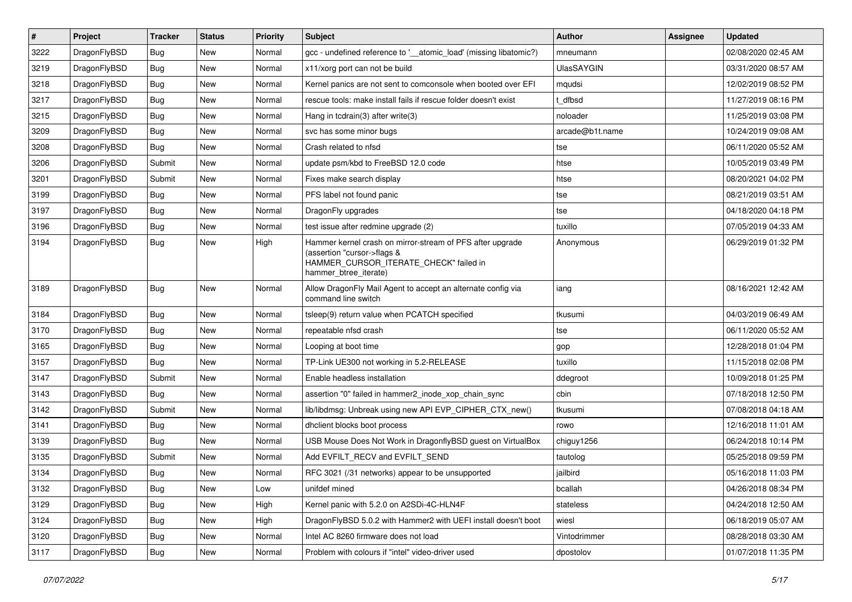| $\sharp$ | Project      | <b>Tracker</b> | <b>Status</b> | <b>Priority</b> | Subject                                                                                                                                                     | <b>Author</b>     | <b>Assignee</b> | <b>Updated</b>      |
|----------|--------------|----------------|---------------|-----------------|-------------------------------------------------------------------------------------------------------------------------------------------------------------|-------------------|-----------------|---------------------|
| 3222     | DragonFlyBSD | Bug            | New           | Normal          | gcc - undefined reference to '__atomic_load' (missing libatomic?)                                                                                           | mneumann          |                 | 02/08/2020 02:45 AM |
| 3219     | DragonFlyBSD | Bug            | <b>New</b>    | Normal          | x11/xorg port can not be build                                                                                                                              | <b>UlasSAYGIN</b> |                 | 03/31/2020 08:57 AM |
| 3218     | DragonFlyBSD | <b>Bug</b>     | <b>New</b>    | Normal          | Kernel panics are not sent to comconsole when booted over EFI                                                                                               | mqudsi            |                 | 12/02/2019 08:52 PM |
| 3217     | DragonFlyBSD | <b>Bug</b>     | New           | Normal          | rescue tools: make install fails if rescue folder doesn't exist                                                                                             | t dfbsd           |                 | 11/27/2019 08:16 PM |
| 3215     | DragonFlyBSD | Bug            | <b>New</b>    | Normal          | Hang in tcdrain(3) after write(3)                                                                                                                           | noloader          |                 | 11/25/2019 03:08 PM |
| 3209     | DragonFlyBSD | <b>Bug</b>     | New           | Normal          | svc has some minor bugs                                                                                                                                     | arcade@b1t.name   |                 | 10/24/2019 09:08 AM |
| 3208     | DragonFlyBSD | Bug            | New           | Normal          | Crash related to nfsd                                                                                                                                       | tse               |                 | 06/11/2020 05:52 AM |
| 3206     | DragonFlyBSD | Submit         | <b>New</b>    | Normal          | update psm/kbd to FreeBSD 12.0 code                                                                                                                         | htse              |                 | 10/05/2019 03:49 PM |
| 3201     | DragonFlyBSD | Submit         | New           | Normal          | Fixes make search display                                                                                                                                   | htse              |                 | 08/20/2021 04:02 PM |
| 3199     | DragonFlyBSD | Bug            | <b>New</b>    | Normal          | PFS label not found panic                                                                                                                                   | tse               |                 | 08/21/2019 03:51 AM |
| 3197     | DragonFlyBSD | <b>Bug</b>     | New           | Normal          | DragonFly upgrades                                                                                                                                          | tse               |                 | 04/18/2020 04:18 PM |
| 3196     | DragonFlyBSD | <b>Bug</b>     | New           | Normal          | test issue after redmine upgrade (2)                                                                                                                        | tuxillo           |                 | 07/05/2019 04:33 AM |
| 3194     | DragonFlyBSD | Bug            | New           | High            | Hammer kernel crash on mirror-stream of PFS after upgrade<br>(assertion "cursor->flags &<br>HAMMER_CURSOR_ITERATE_CHECK" failed in<br>hammer btree iterate) | Anonymous         |                 | 06/29/2019 01:32 PM |
| 3189     | DragonFlyBSD | Bug            | <b>New</b>    | Normal          | Allow DragonFly Mail Agent to accept an alternate config via<br>command line switch                                                                         | iang              |                 | 08/16/2021 12:42 AM |
| 3184     | DragonFlyBSD | Bug            | <b>New</b>    | Normal          | tsleep(9) return value when PCATCH specified                                                                                                                | tkusumi           |                 | 04/03/2019 06:49 AM |
| 3170     | DragonFlyBSD | <b>Bug</b>     | <b>New</b>    | Normal          | repeatable nfsd crash                                                                                                                                       | tse               |                 | 06/11/2020 05:52 AM |
| 3165     | DragonFlyBSD | Bug            | <b>New</b>    | Normal          | Looping at boot time                                                                                                                                        | gop               |                 | 12/28/2018 01:04 PM |
| 3157     | DragonFlyBSD | <b>Bug</b>     | New           | Normal          | TP-Link UE300 not working in 5.2-RELEASE                                                                                                                    | tuxillo           |                 | 11/15/2018 02:08 PM |
| 3147     | DragonFlyBSD | Submit         | New           | Normal          | Enable headless installation                                                                                                                                | ddegroot          |                 | 10/09/2018 01:25 PM |
| 3143     | DragonFlyBSD | Bug            | New           | Normal          | assertion "0" failed in hammer2 inode xop chain sync                                                                                                        | cbin              |                 | 07/18/2018 12:50 PM |
| 3142     | DragonFlyBSD | Submit         | <b>New</b>    | Normal          | lib/libdmsg: Unbreak using new API EVP_CIPHER_CTX_new()                                                                                                     | tkusumi           |                 | 07/08/2018 04:18 AM |
| 3141     | DragonFlyBSD | Bug            | New           | Normal          | dhclient blocks boot process                                                                                                                                | rowo              |                 | 12/16/2018 11:01 AM |
| 3139     | DragonFlyBSD | Bug            | New           | Normal          | USB Mouse Does Not Work in DragonflyBSD guest on VirtualBox                                                                                                 | chiguy1256        |                 | 06/24/2018 10:14 PM |
| 3135     | DragonFlyBSD | Submit         | New           | Normal          | Add EVFILT_RECV and EVFILT_SEND                                                                                                                             | tautolog          |                 | 05/25/2018 09:59 PM |
| 3134     | DragonFlyBSD | Bug            | New           | Normal          | RFC 3021 (/31 networks) appear to be unsupported                                                                                                            | jailbird          |                 | 05/16/2018 11:03 PM |
| 3132     | DragonFlyBSD | <b>Bug</b>     | New           | Low             | unifdef mined                                                                                                                                               | bcallah           |                 | 04/26/2018 08:34 PM |
| 3129     | DragonFlyBSD | <b>Bug</b>     | New           | High            | Kernel panic with 5.2.0 on A2SDi-4C-HLN4F                                                                                                                   | stateless         |                 | 04/24/2018 12:50 AM |
| 3124     | DragonFlyBSD | <b>Bug</b>     | New           | High            | DragonFlyBSD 5.0.2 with Hammer2 with UEFI install doesn't boot                                                                                              | wiesl             |                 | 06/18/2019 05:07 AM |
| 3120     | DragonFlyBSD | <b>Bug</b>     | New           | Normal          | Intel AC 8260 firmware does not load                                                                                                                        | Vintodrimmer      |                 | 08/28/2018 03:30 AM |
| 3117     | DragonFlyBSD | Bug            | New           | Normal          | Problem with colours if "intel" video-driver used                                                                                                           | dpostolov         |                 | 01/07/2018 11:35 PM |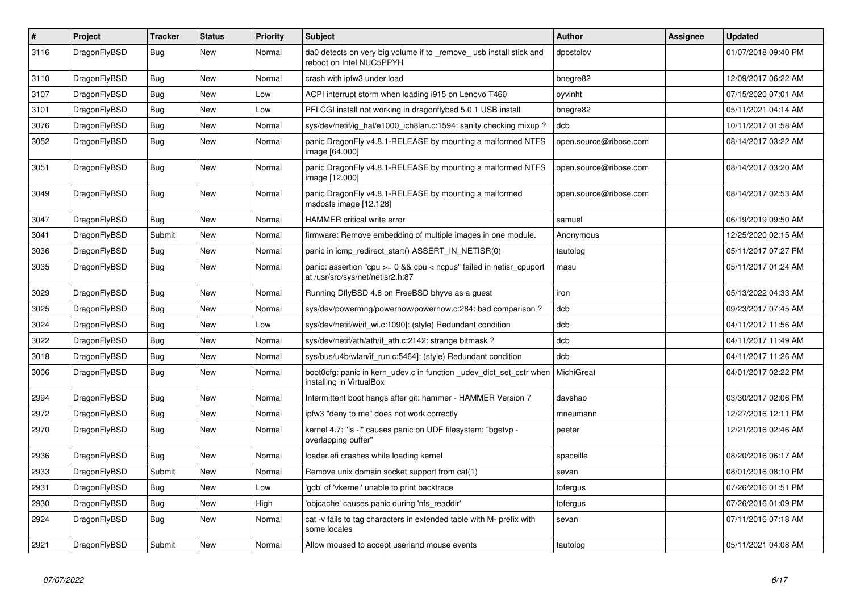| #    | <b>Project</b> | <b>Tracker</b> | <b>Status</b> | <b>Priority</b> | <b>Subject</b>                                                                                          | <b>Author</b>          | Assignee | <b>Updated</b>      |
|------|----------------|----------------|---------------|-----------------|---------------------------------------------------------------------------------------------------------|------------------------|----------|---------------------|
| 3116 | DragonFlyBSD   | Bug            | New           | Normal          | da0 detects on very big volume if to remove usb install stick and<br>reboot on Intel NUC5PPYH           | dpostolov              |          | 01/07/2018 09:40 PM |
| 3110 | DragonFlyBSD   | <b>Bug</b>     | New           | Normal          | crash with ipfw3 under load                                                                             | bnegre82               |          | 12/09/2017 06:22 AM |
| 3107 | DragonFlyBSD   | Bug            | <b>New</b>    | Low             | ACPI interrupt storm when loading i915 on Lenovo T460                                                   | oyvinht                |          | 07/15/2020 07:01 AM |
| 3101 | DragonFlyBSD   | Bug            | <b>New</b>    | Low             | PFI CGI install not working in dragonflybsd 5.0.1 USB install                                           | bnegre82               |          | 05/11/2021 04:14 AM |
| 3076 | DragonFlyBSD   | <b>Bug</b>     | <b>New</b>    | Normal          | sys/dev/netif/ig_hal/e1000_ich8lan.c:1594: sanity checking mixup?                                       | dcb                    |          | 10/11/2017 01:58 AM |
| 3052 | DragonFlyBSD   | Bug            | New           | Normal          | panic DragonFly v4.8.1-RELEASE by mounting a malformed NTFS<br>image [64.000]                           | open.source@ribose.com |          | 08/14/2017 03:22 AM |
| 3051 | DragonFlyBSD   | <b>Bug</b>     | <b>New</b>    | Normal          | panic DragonFly v4.8.1-RELEASE by mounting a malformed NTFS<br>image [12.000]                           | open.source@ribose.com |          | 08/14/2017 03:20 AM |
| 3049 | DragonFlyBSD   | <b>Bug</b>     | New           | Normal          | panic DragonFly v4.8.1-RELEASE by mounting a malformed<br>msdosfs image [12.128]                        | open.source@ribose.com |          | 08/14/2017 02:53 AM |
| 3047 | DragonFlyBSD   | Bug            | <b>New</b>    | Normal          | <b>HAMMER critical write error</b>                                                                      | samuel                 |          | 06/19/2019 09:50 AM |
| 3041 | DragonFlyBSD   | Submit         | <b>New</b>    | Normal          | firmware: Remove embedding of multiple images in one module.                                            | Anonymous              |          | 12/25/2020 02:15 AM |
| 3036 | DragonFlyBSD   | Bug            | <b>New</b>    | Normal          | panic in icmp redirect start() ASSERT IN NETISR(0)                                                      | tautolog               |          | 05/11/2017 07:27 PM |
| 3035 | DragonFlyBSD   | <b>Bug</b>     | <b>New</b>    | Normal          | panic: assertion "cpu >= 0 && cpu < ncpus" failed in netisr cpuport<br>at /usr/src/sys/net/netisr2.h:87 | masu                   |          | 05/11/2017 01:24 AM |
| 3029 | DragonFlyBSD   | <b>Bug</b>     | <b>New</b>    | Normal          | Running DflyBSD 4.8 on FreeBSD bhyve as a guest                                                         | iron                   |          | 05/13/2022 04:33 AM |
| 3025 | DragonFlyBSD   | Bug            | New           | Normal          | sys/dev/powermng/powernow/powernow.c:284: bad comparison ?                                              | dcb                    |          | 09/23/2017 07:45 AM |
| 3024 | DragonFlyBSD   | <b>Bug</b>     | New           | Low             | sys/dev/netif/wi/if_wi.c:1090]: (style) Redundant condition                                             | dcb                    |          | 04/11/2017 11:56 AM |
| 3022 | DragonFlyBSD   | <b>Bug</b>     | <b>New</b>    | Normal          | sys/dev/netif/ath/ath/if_ath.c:2142: strange bitmask?                                                   | dcb                    |          | 04/11/2017 11:49 AM |
| 3018 | DragonFlyBSD   | <b>Bug</b>     | <b>New</b>    | Normal          | sys/bus/u4b/wlan/if run.c:5464]: (style) Redundant condition                                            | dcb                    |          | 04/11/2017 11:26 AM |
| 3006 | DragonFlyBSD   | <b>Bug</b>     | <b>New</b>    | Normal          | boot0cfg: panic in kern udev.c in function udev dict set cstr when<br>installing in VirtualBox          | MichiGreat             |          | 04/01/2017 02:22 PM |
| 2994 | DragonFlyBSD   | Bug            | <b>New</b>    | Normal          | Intermittent boot hangs after git: hammer - HAMMER Version 7                                            | davshao                |          | 03/30/2017 02:06 PM |
| 2972 | DragonFlyBSD   | Bug            | <b>New</b>    | Normal          | ipfw3 "deny to me" does not work correctly                                                              | mneumann               |          | 12/27/2016 12:11 PM |
| 2970 | DragonFlyBSD   | <b>Bug</b>     | New           | Normal          | kernel 4.7: "Is -l" causes panic on UDF filesystem: "bgetvp -<br>overlapping buffer"                    | peeter                 |          | 12/21/2016 02:46 AM |
| 2936 | DragonFlyBSD   | Bug            | New           | Normal          | loader.efi crashes while loading kernel                                                                 | spaceille              |          | 08/20/2016 06:17 AM |
| 2933 | DragonFlyBSD   | Submit         | <b>New</b>    | Normal          | Remove unix domain socket support from cat(1)                                                           | sevan                  |          | 08/01/2016 08:10 PM |
| 2931 | DragonFlyBSD   | Bug            | <b>New</b>    | Low             | 'gdb' of 'vkernel' unable to print backtrace                                                            | tofergus               |          | 07/26/2016 01:51 PM |
| 2930 | DragonFlyBSD   | <b>Bug</b>     | <b>New</b>    | High            | 'objcache' causes panic during 'nfs_readdir'                                                            | tofergus               |          | 07/26/2016 01:09 PM |
| 2924 | DragonFlyBSD   | Bug            | New           | Normal          | cat -v fails to tag characters in extended table with M- prefix with<br>some locales                    | sevan                  |          | 07/11/2016 07:18 AM |
| 2921 | DragonFlyBSD   | Submit         | <b>New</b>    | Normal          | Allow moused to accept userland mouse events                                                            | tautolog               |          | 05/11/2021 04:08 AM |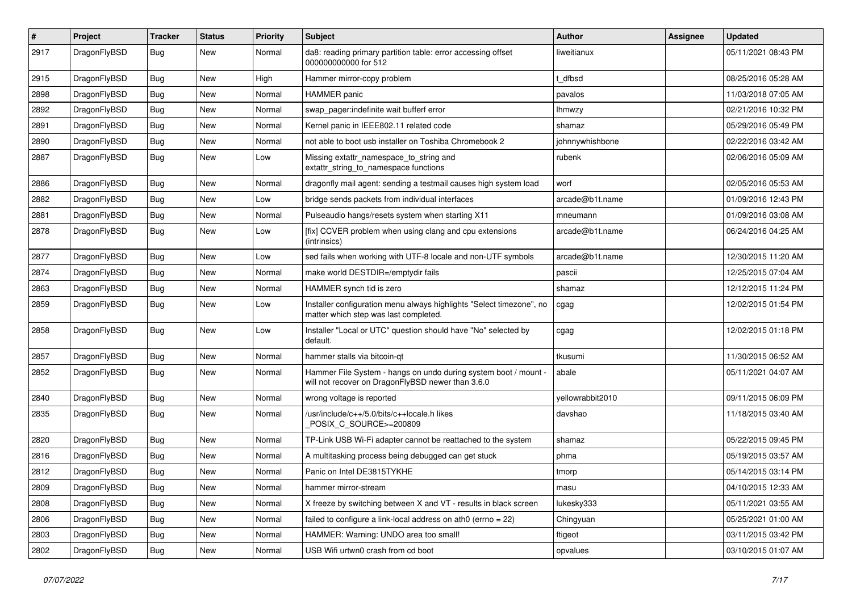| #    | Project      | <b>Tracker</b> | <b>Status</b> | <b>Priority</b> | Subject                                                                                                              | <b>Author</b>    | <b>Assignee</b> | <b>Updated</b>      |
|------|--------------|----------------|---------------|-----------------|----------------------------------------------------------------------------------------------------------------------|------------------|-----------------|---------------------|
| 2917 | DragonFlyBSD | Bug            | New           | Normal          | da8: reading primary partition table: error accessing offset<br>000000000000 for 512                                 | liweitianux      |                 | 05/11/2021 08:43 PM |
| 2915 | DragonFlyBSD | Bug            | <b>New</b>    | High            | Hammer mirror-copy problem                                                                                           | : dfbsd          |                 | 08/25/2016 05:28 AM |
| 2898 | DragonFlyBSD | Bug            | New           | Normal          | <b>HAMMER</b> panic                                                                                                  | pavalos          |                 | 11/03/2018 07:05 AM |
| 2892 | DragonFlyBSD | Bug            | New           | Normal          | swap_pager:indefinite wait bufferf error                                                                             | <b>Ihmwzy</b>    |                 | 02/21/2016 10:32 PM |
| 2891 | DragonFlyBSD | Bug            | New           | Normal          | Kernel panic in IEEE802.11 related code                                                                              | shamaz           |                 | 05/29/2016 05:49 PM |
| 2890 | DragonFlyBSD | Bug            | New           | Normal          | not able to boot usb installer on Toshiba Chromebook 2                                                               | johnnywhishbone  |                 | 02/22/2016 03:42 AM |
| 2887 | DragonFlyBSD | Bug            | <b>New</b>    | Low             | Missing extattr_namespace_to_string and<br>extattr_string_to_namespace functions                                     | rubenk           |                 | 02/06/2016 05:09 AM |
| 2886 | DragonFlyBSD | Bug            | <b>New</b>    | Normal          | dragonfly mail agent: sending a testmail causes high system load                                                     | worf             |                 | 02/05/2016 05:53 AM |
| 2882 | DragonFlyBSD | Bug            | New           | Low             | bridge sends packets from individual interfaces                                                                      | arcade@b1t.name  |                 | 01/09/2016 12:43 PM |
| 2881 | DragonFlyBSD | Bug            | New           | Normal          | Pulseaudio hangs/resets system when starting X11                                                                     | mneumann         |                 | 01/09/2016 03:08 AM |
| 2878 | DragonFlyBSD | Bug            | New           | Low             | [fix] CCVER problem when using clang and cpu extensions<br>(intrinsics)                                              | arcade@b1t.name  |                 | 06/24/2016 04:25 AM |
| 2877 | DragonFlyBSD | Bug            | <b>New</b>    | Low             | sed fails when working with UTF-8 locale and non-UTF symbols                                                         | arcade@b1t.name  |                 | 12/30/2015 11:20 AM |
| 2874 | DragonFlyBSD | Bug            | New           | Normal          | make world DESTDIR=/emptydir fails                                                                                   | pascii           |                 | 12/25/2015 07:04 AM |
| 2863 | DragonFlyBSD | Bug            | New           | Normal          | HAMMER synch tid is zero                                                                                             | shamaz           |                 | 12/12/2015 11:24 PM |
| 2859 | DragonFlyBSD | <b>Bug</b>     | New           | Low             | Installer configuration menu always highlights "Select timezone", no<br>matter which step was last completed.        | cgag             |                 | 12/02/2015 01:54 PM |
| 2858 | DragonFlyBSD | Bug            | New           | Low             | Installer "Local or UTC" question should have "No" selected by<br>default.                                           | cgag             |                 | 12/02/2015 01:18 PM |
| 2857 | DragonFlyBSD | Bug            | New           | Normal          | hammer stalls via bitcoin-qt                                                                                         | tkusumi          |                 | 11/30/2015 06:52 AM |
| 2852 | DragonFlyBSD | <b>Bug</b>     | New           | Normal          | Hammer File System - hangs on undo during system boot / mount -<br>will not recover on DragonFlyBSD newer than 3.6.0 | abale            |                 | 05/11/2021 04:07 AM |
| 2840 | DragonFlyBSD | <b>Bug</b>     | <b>New</b>    | Normal          | wrong voltage is reported                                                                                            | yellowrabbit2010 |                 | 09/11/2015 06:09 PM |
| 2835 | DragonFlyBSD | <b>Bug</b>     | New           | Normal          | /usr/include/c++/5.0/bits/c++locale.h likes<br>POSIX_C_SOURCE>=200809                                                | davshao          |                 | 11/18/2015 03:40 AM |
| 2820 | DragonFlyBSD | <b>Bug</b>     | <b>New</b>    | Normal          | TP-Link USB Wi-Fi adapter cannot be reattached to the system                                                         | shamaz           |                 | 05/22/2015 09:45 PM |
| 2816 | DragonFlyBSD | <b>Bug</b>     | New           | Normal          | A multitasking process being debugged can get stuck                                                                  | phma             |                 | 05/19/2015 03:57 AM |
| 2812 | DragonFlyBSD | Bug            | <b>New</b>    | Normal          | Panic on Intel DE3815TYKHE                                                                                           | tmorp            |                 | 05/14/2015 03:14 PM |
| 2809 | DragonFlyBSD | <b>Bug</b>     | <b>New</b>    | Normal          | hammer mirror-stream                                                                                                 | masu             |                 | 04/10/2015 12:33 AM |
| 2808 | DragonFlyBSD | <b>Bug</b>     | New           | Normal          | X freeze by switching between X and VT - results in black screen                                                     | lukesky333       |                 | 05/11/2021 03:55 AM |
| 2806 | DragonFlyBSD | <b>Bug</b>     | New           | Normal          | failed to configure a link-local address on ath0 (errno = 22)                                                        | Chingyuan        |                 | 05/25/2021 01:00 AM |
| 2803 | DragonFlyBSD | <b>Bug</b>     | <b>New</b>    | Normal          | HAMMER: Warning: UNDO area too small!                                                                                | ftigeot          |                 | 03/11/2015 03:42 PM |
| 2802 | DragonFlyBSD | <b>Bug</b>     | New           | Normal          | USB Wifi urtwn0 crash from cd boot                                                                                   | opvalues         |                 | 03/10/2015 01:07 AM |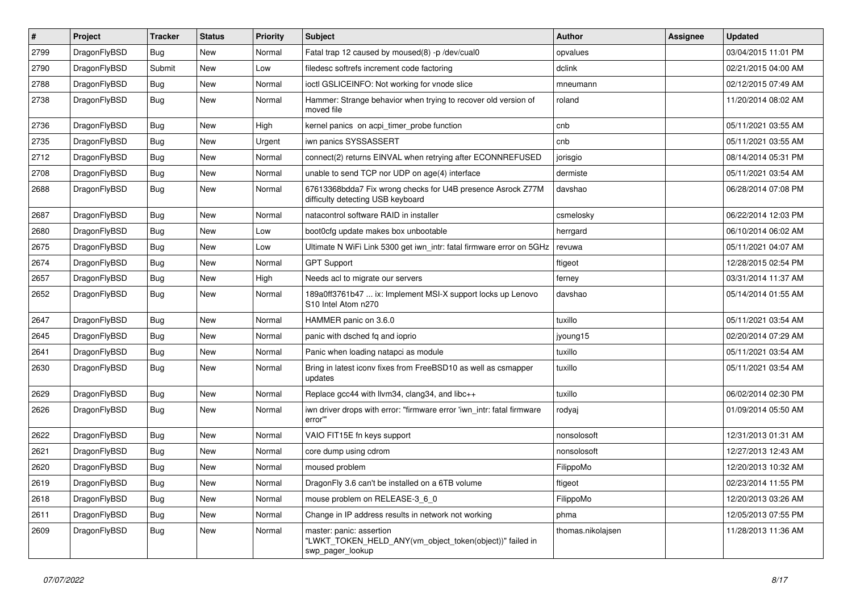| $\pmb{\#}$ | Project      | <b>Tracker</b> | <b>Status</b> | <b>Priority</b> | Subject                                                                                                  | Author            | Assignee | <b>Updated</b>      |
|------------|--------------|----------------|---------------|-----------------|----------------------------------------------------------------------------------------------------------|-------------------|----------|---------------------|
| 2799       | DragonFlyBSD | Bug            | <b>New</b>    | Normal          | Fatal trap 12 caused by moused(8) -p /dev/cual0                                                          | opvalues          |          | 03/04/2015 11:01 PM |
| 2790       | DragonFlyBSD | Submit         | <b>New</b>    | Low             | filedesc softrefs increment code factoring                                                               | dclink            |          | 02/21/2015 04:00 AM |
| 2788       | DragonFlyBSD | <b>Bug</b>     | New           | Normal          | ioctl GSLICEINFO: Not working for vnode slice                                                            | mneumann          |          | 02/12/2015 07:49 AM |
| 2738       | DragonFlyBSD | Bug            | New           | Normal          | Hammer: Strange behavior when trying to recover old version of<br>moved file                             | roland            |          | 11/20/2014 08:02 AM |
| 2736       | DragonFlyBSD | <b>Bug</b>     | <b>New</b>    | High            | kernel panics on acpi_timer_probe function                                                               | cnb               |          | 05/11/2021 03:55 AM |
| 2735       | DragonFlyBSD | <b>Bug</b>     | <b>New</b>    | Urgent          | iwn panics SYSSASSERT                                                                                    | cnb               |          | 05/11/2021 03:55 AM |
| 2712       | DragonFlyBSD | <b>Bug</b>     | New           | Normal          | connect(2) returns EINVAL when retrying after ECONNREFUSED                                               | jorisgio          |          | 08/14/2014 05:31 PM |
| 2708       | DragonFlyBSD | Bug            | New           | Normal          | unable to send TCP nor UDP on age(4) interface                                                           | dermiste          |          | 05/11/2021 03:54 AM |
| 2688       | DragonFlyBSD | Bug            | New           | Normal          | 67613368bdda7 Fix wrong checks for U4B presence Asrock Z77M<br>difficulty detecting USB keyboard         | davshao           |          | 06/28/2014 07:08 PM |
| 2687       | DragonFlyBSD | Bug            | <b>New</b>    | Normal          | natacontrol software RAID in installer                                                                   | csmelosky         |          | 06/22/2014 12:03 PM |
| 2680       | DragonFlyBSD | Bug            | New           | Low             | boot0cfg update makes box unbootable                                                                     | herrgard          |          | 06/10/2014 06:02 AM |
| 2675       | DragonFlyBSD | Bug            | New           | Low             | Ultimate N WiFi Link 5300 get iwn_intr: fatal firmware error on 5GHz                                     | revuwa            |          | 05/11/2021 04:07 AM |
| 2674       | DragonFlyBSD | Bug            | <b>New</b>    | Normal          | <b>GPT Support</b>                                                                                       | ftigeot           |          | 12/28/2015 02:54 PM |
| 2657       | DragonFlyBSD | <b>Bug</b>     | New           | High            | Needs acl to migrate our servers                                                                         | ferney            |          | 03/31/2014 11:37 AM |
| 2652       | DragonFlyBSD | Bug            | New           | Normal          | 189a0ff3761b47  ix: Implement MSI-X support locks up Lenovo<br>S10 Intel Atom n270                       | davshao           |          | 05/14/2014 01:55 AM |
| 2647       | DragonFlyBSD | Bug            | New           | Normal          | HAMMER panic on 3.6.0                                                                                    | tuxillo           |          | 05/11/2021 03:54 AM |
| 2645       | DragonFlyBSD | Bug            | <b>New</b>    | Normal          | panic with dsched fq and ioprio                                                                          | jyoung15          |          | 02/20/2014 07:29 AM |
| 2641       | DragonFlyBSD | <b>Bug</b>     | New           | Normal          | Panic when loading natapci as module                                                                     | tuxillo           |          | 05/11/2021 03:54 AM |
| 2630       | DragonFlyBSD | Bug            | New           | Normal          | Bring in latest iconv fixes from FreeBSD10 as well as csmapper<br>updates                                | tuxillo           |          | 05/11/2021 03:54 AM |
| 2629       | DragonFlyBSD | Bug            | <b>New</b>    | Normal          | Replace gcc44 with llvm34, clang34, and libc++                                                           | tuxillo           |          | 06/02/2014 02:30 PM |
| 2626       | DragonFlyBSD | Bug            | New           | Normal          | iwn driver drops with error: "firmware error 'iwn intr: fatal firmware<br>error'"                        | rodyaj            |          | 01/09/2014 05:50 AM |
| 2622       | DragonFlyBSD | <b>Bug</b>     | <b>New</b>    | Normal          | VAIO FIT15E fn keys support                                                                              | nonsolosoft       |          | 12/31/2013 01:31 AM |
| 2621       | DragonFlyBSD | Bug            | <b>New</b>    | Normal          | core dump using cdrom                                                                                    | nonsolosoft       |          | 12/27/2013 12:43 AM |
| 2620       | DragonFlyBSD | Bug            | New           | Normal          | moused problem                                                                                           | FilippoMo         |          | 12/20/2013 10:32 AM |
| 2619       | DragonFlyBSD | <b>Bug</b>     | New           | Normal          | DragonFly 3.6 can't be installed on a 6TB volume                                                         | ftigeot           |          | 02/23/2014 11:55 PM |
| 2618       | DragonFlyBSD | <b>Bug</b>     | New           | Normal          | mouse problem on RELEASE-3 6 0                                                                           | FilippoMo         |          | 12/20/2013 03:26 AM |
| 2611       | DragonFlyBSD | <b>Bug</b>     | New           | Normal          | Change in IP address results in network not working                                                      | phma              |          | 12/05/2013 07:55 PM |
| 2609       | DragonFlyBSD | Bug            | New           | Normal          | master: panic: assertion<br>"LWKT_TOKEN_HELD_ANY(vm_object_token(object))" failed in<br>swp_pager_lookup | thomas.nikolajsen |          | 11/28/2013 11:36 AM |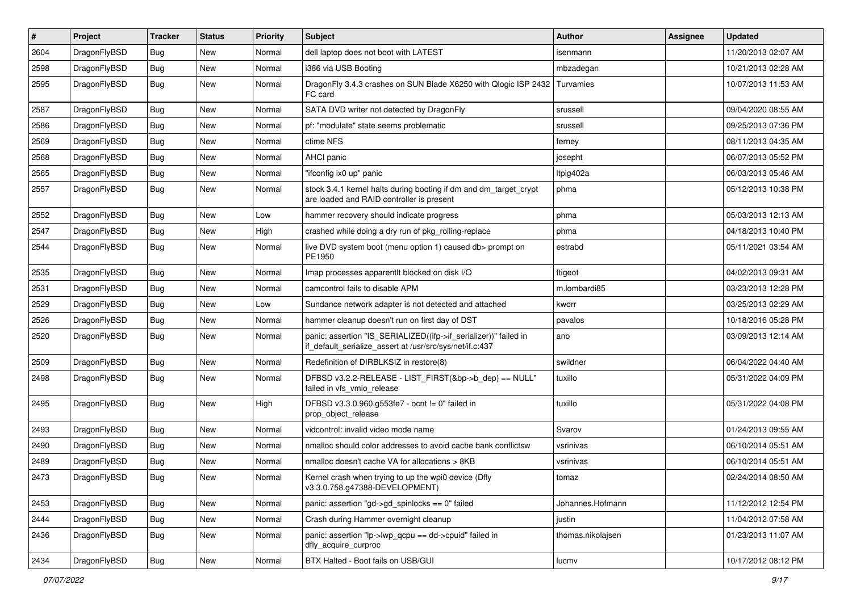| $\sharp$ | Project      | <b>Tracker</b> | <b>Status</b> | <b>Priority</b> | Subject                                                                                                                      | <b>Author</b>     | Assignee | <b>Updated</b>      |
|----------|--------------|----------------|---------------|-----------------|------------------------------------------------------------------------------------------------------------------------------|-------------------|----------|---------------------|
| 2604     | DragonFlyBSD | <b>Bug</b>     | <b>New</b>    | Normal          | dell laptop does not boot with LATEST                                                                                        | isenmann          |          | 11/20/2013 02:07 AM |
| 2598     | DragonFlyBSD | <b>Bug</b>     | New           | Normal          | i386 via USB Booting                                                                                                         | mbzadegan         |          | 10/21/2013 02:28 AM |
| 2595     | DragonFlyBSD | <b>Bug</b>     | New           | Normal          | DragonFly 3.4.3 crashes on SUN Blade X6250 with Qlogic ISP 2432<br>FC card                                                   | Turvamies         |          | 10/07/2013 11:53 AM |
| 2587     | DragonFlyBSD | <b>Bug</b>     | New           | Normal          | SATA DVD writer not detected by DragonFly                                                                                    | srussell          |          | 09/04/2020 08:55 AM |
| 2586     | DragonFlyBSD | <b>Bug</b>     | <b>New</b>    | Normal          | pf: "modulate" state seems problematic                                                                                       | srussell          |          | 09/25/2013 07:36 PM |
| 2569     | DragonFlyBSD | <b>Bug</b>     | <b>New</b>    | Normal          | ctime NFS                                                                                                                    | ferney            |          | 08/11/2013 04:35 AM |
| 2568     | DragonFlyBSD | <b>Bug</b>     | New           | Normal          | AHCI panic                                                                                                                   | josepht           |          | 06/07/2013 05:52 PM |
| 2565     | DragonFlyBSD | <b>Bug</b>     | New           | Normal          | "ifconfig ix0 up" panic                                                                                                      | Itpig402a         |          | 06/03/2013 05:46 AM |
| 2557     | DragonFlyBSD | <b>Bug</b>     | <b>New</b>    | Normal          | stock 3.4.1 kernel halts during booting if dm and dm_target_crypt<br>are loaded and RAID controller is present               | phma              |          | 05/12/2013 10:38 PM |
| 2552     | DragonFlyBSD | <b>Bug</b>     | <b>New</b>    | Low             | hammer recovery should indicate progress                                                                                     | phma              |          | 05/03/2013 12:13 AM |
| 2547     | DragonFlyBSD | <b>Bug</b>     | New           | High            | crashed while doing a dry run of pkg_rolling-replace                                                                         | phma              |          | 04/18/2013 10:40 PM |
| 2544     | DragonFlyBSD | <b>Bug</b>     | <b>New</b>    | Normal          | live DVD system boot (menu option 1) caused db> prompt on<br>PE1950                                                          | estrabd           |          | 05/11/2021 03:54 AM |
| 2535     | DragonFlyBSD | Bug            | <b>New</b>    | Normal          | Imap processes apparentit blocked on disk I/O                                                                                | ftigeot           |          | 04/02/2013 09:31 AM |
| 2531     | DragonFlyBSD | <b>Bug</b>     | New           | Normal          | camcontrol fails to disable APM                                                                                              | m.lombardi85      |          | 03/23/2013 12:28 PM |
| 2529     | DragonFlyBSD | <b>Bug</b>     | <b>New</b>    | Low             | Sundance network adapter is not detected and attached                                                                        | kworr             |          | 03/25/2013 02:29 AM |
| 2526     | DragonFlyBSD | <b>Bug</b>     | New           | Normal          | hammer cleanup doesn't run on first day of DST                                                                               | pavalos           |          | 10/18/2016 05:28 PM |
| 2520     | DragonFlyBSD | Bug            | <b>New</b>    | Normal          | panic: assertion "IS_SERIALIZED((ifp->if_serializer))" failed in<br>if_default_serialize_assert at /usr/src/sys/net/if.c:437 | ano               |          | 03/09/2013 12:14 AM |
| 2509     | DragonFlyBSD | Bug            | <b>New</b>    | Normal          | Redefinition of DIRBLKSIZ in restore(8)                                                                                      | swildner          |          | 06/04/2022 04:40 AM |
| 2498     | DragonFlyBSD | Bug            | New           | Normal          | DFBSD v3.2.2-RELEASE - LIST_FIRST(&bp->b_dep) == NULL"<br>failed in vfs vmio release                                         | tuxillo           |          | 05/31/2022 04:09 PM |
| 2495     | DragonFlyBSD | <b>Bug</b>     | New           | High            | DFBSD v3.3.0.960.g553fe7 - ocnt != 0" failed in<br>prop_object_release                                                       | tuxillo           |          | 05/31/2022 04:08 PM |
| 2493     | DragonFlyBSD | Bug            | <b>New</b>    | Normal          | vidcontrol: invalid video mode name                                                                                          | Svarov            |          | 01/24/2013 09:55 AM |
| 2490     | DragonFlyBSD | Bug            | New           | Normal          | nmalloc should color addresses to avoid cache bank conflictsw                                                                | vsrinivas         |          | 06/10/2014 05:51 AM |
| 2489     | DragonFlyBSD | Bug            | New           | Normal          | nmalloc doesn't cache VA for allocations > 8KB                                                                               | vsrinivas         |          | 06/10/2014 05:51 AM |
| 2473     | DragonFlyBSD | Bug            | <b>New</b>    | Normal          | Kernel crash when trying to up the wpi0 device (Dfly<br>v3.3.0.758.g47388-DEVELOPMENT)                                       | tomaz             |          | 02/24/2014 08:50 AM |
| 2453     | DragonFlyBSD | <b>Bug</b>     | New           | Normal          | panic: assertion "gd->gd_spinlocks == $0$ " failed                                                                           | Johannes.Hofmann  |          | 11/12/2012 12:54 PM |
| 2444     | DragonFlyBSD | Bug            | New           | Normal          | Crash during Hammer overnight cleanup                                                                                        | justin            |          | 11/04/2012 07:58 AM |
| 2436     | DragonFlyBSD | <b>Bug</b>     | New           | Normal          | panic: assertion "lp->lwp_qcpu == dd->cpuid" failed in<br>dfly_acquire_curproc                                               | thomas.nikolajsen |          | 01/23/2013 11:07 AM |
| 2434     | DragonFlyBSD | <b>Bug</b>     | New           | Normal          | BTX Halted - Boot fails on USB/GUI                                                                                           | lucmv             |          | 10/17/2012 08:12 PM |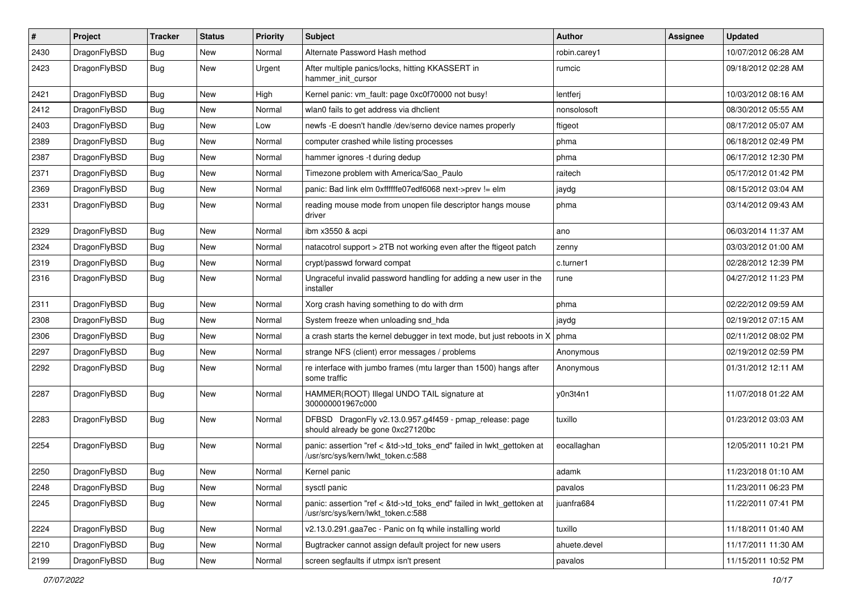| $\pmb{\#}$ | Project      | <b>Tracker</b> | <b>Status</b> | <b>Priority</b> | Subject                                                                                                    | <b>Author</b> | Assignee | <b>Updated</b>      |
|------------|--------------|----------------|---------------|-----------------|------------------------------------------------------------------------------------------------------------|---------------|----------|---------------------|
| 2430       | DragonFlyBSD | Bug            | New           | Normal          | Alternate Password Hash method                                                                             | robin.carey1  |          | 10/07/2012 06:28 AM |
| 2423       | DragonFlyBSD | Bug            | New           | Urgent          | After multiple panics/locks, hitting KKASSERT in<br>hammer init cursor                                     | rumcic        |          | 09/18/2012 02:28 AM |
| 2421       | DragonFlyBSD | Bug            | <b>New</b>    | High            | Kernel panic: vm_fault: page 0xc0f70000 not busy!                                                          | lentferj      |          | 10/03/2012 08:16 AM |
| 2412       | DragonFlyBSD | Bug            | <b>New</b>    | Normal          | wlan0 fails to get address via dhclient                                                                    | nonsolosoft   |          | 08/30/2012 05:55 AM |
| 2403       | DragonFlyBSD | Bug            | New           | Low             | newfs -E doesn't handle /dev/serno device names properly                                                   | ftigeot       |          | 08/17/2012 05:07 AM |
| 2389       | DragonFlyBSD | Bug            | <b>New</b>    | Normal          | computer crashed while listing processes                                                                   | phma          |          | 06/18/2012 02:49 PM |
| 2387       | DragonFlyBSD | Bug            | New           | Normal          | hammer ignores -t during dedup                                                                             | phma          |          | 06/17/2012 12:30 PM |
| 2371       | DragonFlyBSD | Bug            | <b>New</b>    | Normal          | Timezone problem with America/Sao_Paulo                                                                    | raitech       |          | 05/17/2012 01:42 PM |
| 2369       | DragonFlyBSD | Bug            | <b>New</b>    | Normal          | panic: Bad link elm 0xffffffe07edf6068 next->prev != elm                                                   | jaydg         |          | 08/15/2012 03:04 AM |
| 2331       | DragonFlyBSD | Bug            | New           | Normal          | reading mouse mode from unopen file descriptor hangs mouse<br>driver                                       | phma          |          | 03/14/2012 09:43 AM |
| 2329       | DragonFlyBSD | <b>Bug</b>     | <b>New</b>    | Normal          | ibm x3550 & acpi                                                                                           | ano           |          | 06/03/2014 11:37 AM |
| 2324       | DragonFlyBSD | Bug            | <b>New</b>    | Normal          | natacotrol support > 2TB not working even after the ftigeot patch                                          | zenny         |          | 03/03/2012 01:00 AM |
| 2319       | DragonFlyBSD | Bug            | <b>New</b>    | Normal          | crypt/passwd forward compat                                                                                | c.turner1     |          | 02/28/2012 12:39 PM |
| 2316       | DragonFlyBSD | Bug            | New           | Normal          | Ungraceful invalid password handling for adding a new user in the<br>installer                             | rune          |          | 04/27/2012 11:23 PM |
| 2311       | DragonFlyBSD | Bug            | <b>New</b>    | Normal          | Xorg crash having something to do with drm                                                                 | phma          |          | 02/22/2012 09:59 AM |
| 2308       | DragonFlyBSD | Bug            | <b>New</b>    | Normal          | System freeze when unloading snd hda                                                                       | jaydg         |          | 02/19/2012 07:15 AM |
| 2306       | DragonFlyBSD | Bug            | <b>New</b>    | Normal          | a crash starts the kernel debugger in text mode, but just reboots in $X \mid p$ hma                        |               |          | 02/11/2012 08:02 PM |
| 2297       | DragonFlyBSD | Bug            | New           | Normal          | strange NFS (client) error messages / problems                                                             | Anonymous     |          | 02/19/2012 02:59 PM |
| 2292       | DragonFlyBSD | Bug            | <b>New</b>    | Normal          | re interface with jumbo frames (mtu larger than 1500) hangs after<br>some traffic                          | Anonymous     |          | 01/31/2012 12:11 AM |
| 2287       | DragonFlyBSD | Bug            | <b>New</b>    | Normal          | HAMMER(ROOT) Illegal UNDO TAIL signature at<br>300000001967c000                                            | y0n3t4n1      |          | 11/07/2018 01:22 AM |
| 2283       | DragonFlyBSD | Bug            | <b>New</b>    | Normal          | DFBSD DragonFly v2.13.0.957.g4f459 - pmap_release: page<br>should already be gone 0xc27120bc               | tuxillo       |          | 01/23/2012 03:03 AM |
| 2254       | DragonFlyBSD | Bug            | New           | Normal          | panic: assertion "ref < &td->td_toks_end" failed in lwkt_gettoken at<br>/usr/src/sys/kern/lwkt_token.c:588 | eocallaghan   |          | 12/05/2011 10:21 PM |
| 2250       | DragonFlyBSD | Bug            | New           | Normal          | Kernel panic                                                                                               | adamk         |          | 11/23/2018 01:10 AM |
| 2248       | DragonFlyBSD | <b>Bug</b>     | New           | Normal          | sysctl panic                                                                                               | pavalos       |          | 11/23/2011 06:23 PM |
| 2245       | DragonFlyBSD | Bug            | New           | Normal          | panic: assertion "ref < &td->td_toks_end" failed in lwkt_gettoken at<br>/usr/src/sys/kern/lwkt_token.c:588 | juanfra684    |          | 11/22/2011 07:41 PM |
| 2224       | DragonFlyBSD | Bug            | New           | Normal          | v2.13.0.291.gaa7ec - Panic on fq while installing world                                                    | tuxillo       |          | 11/18/2011 01:40 AM |
| 2210       | DragonFlyBSD | Bug            | New           | Normal          | Bugtracker cannot assign default project for new users                                                     | ahuete.devel  |          | 11/17/2011 11:30 AM |
| 2199       | DragonFlyBSD | Bug            | New           | Normal          | screen segfaults if utmpx isn't present                                                                    | pavalos       |          | 11/15/2011 10:52 PM |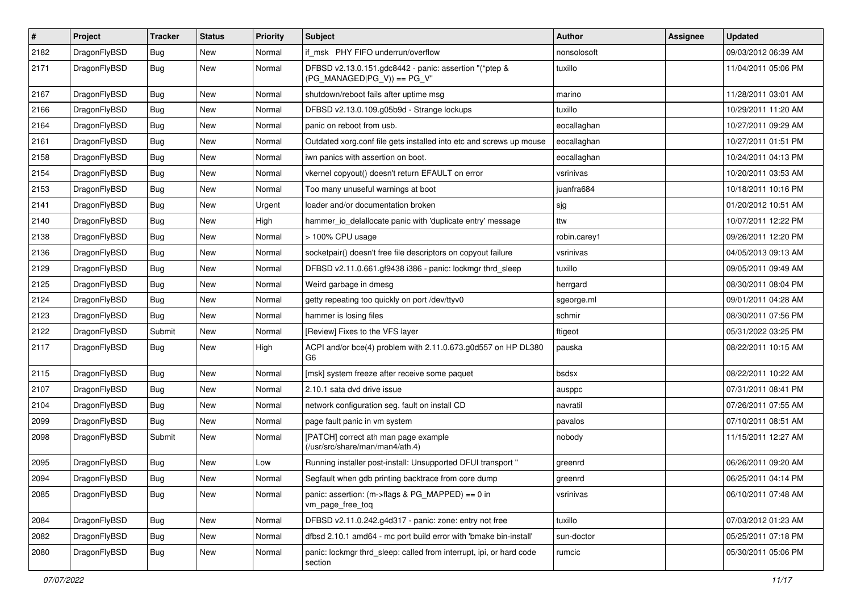| $\sharp$ | Project      | <b>Tracker</b> | <b>Status</b> | <b>Priority</b> | Subject                                                                                | <b>Author</b> | Assignee | <b>Updated</b>      |
|----------|--------------|----------------|---------------|-----------------|----------------------------------------------------------------------------------------|---------------|----------|---------------------|
| 2182     | DragonFlyBSD | Bug            | New           | Normal          | if msk PHY FIFO underrun/overflow                                                      | nonsolosoft   |          | 09/03/2012 06:39 AM |
| 2171     | DragonFlyBSD | Bug            | New           | Normal          | DFBSD v2.13.0.151.gdc8442 - panic: assertion "(*ptep &<br>$(PG_MANAGED PG_V)$ == PG_V" | tuxillo       |          | 11/04/2011 05:06 PM |
| 2167     | DragonFlyBSD | Bug            | New           | Normal          | shutdown/reboot fails after uptime msg                                                 | marino        |          | 11/28/2011 03:01 AM |
| 2166     | DragonFlyBSD | Bug            | New           | Normal          | DFBSD v2.13.0.109.g05b9d - Strange lockups                                             | tuxillo       |          | 10/29/2011 11:20 AM |
| 2164     | DragonFlyBSD | Bug            | New           | Normal          | panic on reboot from usb.                                                              | eocallaghan   |          | 10/27/2011 09:29 AM |
| 2161     | DragonFlyBSD | Bug            | New           | Normal          | Outdated xorg.conf file gets installed into etc and screws up mouse                    | eocallaghan   |          | 10/27/2011 01:51 PM |
| 2158     | DragonFlyBSD | Bug            | New           | Normal          | iwn panics with assertion on boot.                                                     | eocallaghan   |          | 10/24/2011 04:13 PM |
| 2154     | DragonFlyBSD | Bug            | New           | Normal          | vkernel copyout() doesn't return EFAULT on error                                       | vsrinivas     |          | 10/20/2011 03:53 AM |
| 2153     | DragonFlyBSD | Bug            | <b>New</b>    | Normal          | Too many unuseful warnings at boot                                                     | juanfra684    |          | 10/18/2011 10:16 PM |
| 2141     | DragonFlyBSD | Bug            | New           | Urgent          | loader and/or documentation broken                                                     | sjg           |          | 01/20/2012 10:51 AM |
| 2140     | DragonFlyBSD | Bug            | New           | High            | hammer_io_delallocate panic with 'duplicate entry' message                             | ttw           |          | 10/07/2011 12:22 PM |
| 2138     | DragonFlyBSD | Bug            | New           | Normal          | > 100% CPU usage                                                                       | robin.carey1  |          | 09/26/2011 12:20 PM |
| 2136     | DragonFlyBSD | Bug            | <b>New</b>    | Normal          | socketpair() doesn't free file descriptors on copyout failure                          | vsrinivas     |          | 04/05/2013 09:13 AM |
| 2129     | DragonFlyBSD | Bug            | New           | Normal          | DFBSD v2.11.0.661.gf9438 i386 - panic: lockmgr thrd_sleep                              | tuxillo       |          | 09/05/2011 09:49 AM |
| 2125     | DragonFlyBSD | Bug            | <b>New</b>    | Normal          | Weird garbage in dmesg                                                                 | herrgard      |          | 08/30/2011 08:04 PM |
| 2124     | DragonFlyBSD | Bug            | <b>New</b>    | Normal          | getty repeating too quickly on port /dev/ttyv0                                         | sgeorge.ml    |          | 09/01/2011 04:28 AM |
| 2123     | DragonFlyBSD | Bug            | New           | Normal          | hammer is losing files                                                                 | schmir        |          | 08/30/2011 07:56 PM |
| 2122     | DragonFlyBSD | Submit         | <b>New</b>    | Normal          | [Review] Fixes to the VFS layer                                                        | ftigeot       |          | 05/31/2022 03:25 PM |
| 2117     | DragonFlyBSD | <b>Bug</b>     | New           | High            | ACPI and/or bce(4) problem with 2.11.0.673.g0d557 on HP DL380<br>G <sub>6</sub>        | pauska        |          | 08/22/2011 10:15 AM |
| 2115     | DragonFlyBSD | Bug            | <b>New</b>    | Normal          | [msk] system freeze after receive some paquet                                          | bsdsx         |          | 08/22/2011 10:22 AM |
| 2107     | DragonFlyBSD | Bug            | New           | Normal          | 2.10.1 sata dvd drive issue                                                            | ausppc        |          | 07/31/2011 08:41 PM |
| 2104     | DragonFlyBSD | <b>Bug</b>     | New           | Normal          | network configuration seg. fault on install CD                                         | navratil      |          | 07/26/2011 07:55 AM |
| 2099     | DragonFlyBSD | <b>Bug</b>     | New           | Normal          | page fault panic in vm system                                                          | pavalos       |          | 07/10/2011 08:51 AM |
| 2098     | DragonFlyBSD | Submit         | New           | Normal          | [PATCH] correct ath man page example<br>(/usr/src/share/man/man4/ath.4)                | nobody        |          | 11/15/2011 12:27 AM |
| 2095     | DragonFlyBSD | <b>Bug</b>     | New           | Low             | Running installer post-install: Unsupported DFUI transport "                           | greenrd       |          | 06/26/2011 09:20 AM |
| 2094     | DragonFlyBSD | Bug            | <b>New</b>    | Normal          | Segfault when gdb printing backtrace from core dump                                    | greenrd       |          | 06/25/2011 04:14 PM |
| 2085     | DragonFlyBSD | Bug            | New           | Normal          | panic: assertion: (m->flags & PG_MAPPED) == 0 in<br>vm_page_free_toq                   | vsrinivas     |          | 06/10/2011 07:48 AM |
| 2084     | DragonFlyBSD | Bug            | <b>New</b>    | Normal          | DFBSD v2.11.0.242.g4d317 - panic: zone: entry not free                                 | tuxillo       |          | 07/03/2012 01:23 AM |
| 2082     | DragonFlyBSD | <b>Bug</b>     | New           | Normal          | dfbsd 2.10.1 amd64 - mc port build error with 'bmake bin-install'                      | sun-doctor    |          | 05/25/2011 07:18 PM |
| 2080     | DragonFlyBSD | Bug            | New           | Normal          | panic: lockmgr thrd sleep: called from interrupt, ipi, or hard code<br>section         | rumcic        |          | 05/30/2011 05:06 PM |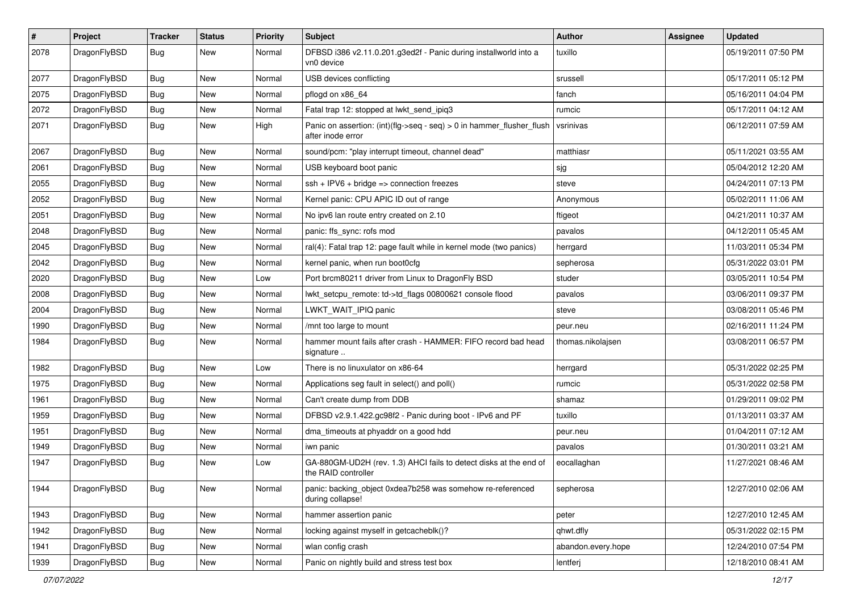| $\sharp$ | Project      | <b>Tracker</b> | <b>Status</b> | <b>Priority</b> | Subject                                                                                    | Author             | Assignee | <b>Updated</b>      |
|----------|--------------|----------------|---------------|-----------------|--------------------------------------------------------------------------------------------|--------------------|----------|---------------------|
| 2078     | DragonFlyBSD | Bug            | New           | Normal          | DFBSD i386 v2.11.0.201.g3ed2f - Panic during installworld into a<br>vn0 device             | tuxillo            |          | 05/19/2011 07:50 PM |
| 2077     | DragonFlyBSD | Bug            | <b>New</b>    | Normal          | USB devices conflicting                                                                    | srussell           |          | 05/17/2011 05:12 PM |
| 2075     | DragonFlyBSD | <b>Bug</b>     | New           | Normal          | pflogd on x86_64                                                                           | fanch              |          | 05/16/2011 04:04 PM |
| 2072     | DragonFlyBSD | Bug            | <b>New</b>    | Normal          | Fatal trap 12: stopped at lwkt_send_ipiq3                                                  | rumcic             |          | 05/17/2011 04:12 AM |
| 2071     | DragonFlyBSD | <b>Bug</b>     | New           | High            | Panic on assertion: (int)(flg->seq - seq) > 0 in hammer_flusher_flush<br>after inode error | vsrinivas          |          | 06/12/2011 07:59 AM |
| 2067     | DragonFlyBSD | Bug            | <b>New</b>    | Normal          | sound/pcm: "play interrupt timeout, channel dead"                                          | matthiasr          |          | 05/11/2021 03:55 AM |
| 2061     | DragonFlyBSD | <b>Bug</b>     | New           | Normal          | USB keyboard boot panic                                                                    | sjg                |          | 05/04/2012 12:20 AM |
| 2055     | DragonFlyBSD | <b>Bug</b>     | <b>New</b>    | Normal          | ssh + IPV6 + bridge => connection freezes                                                  | steve              |          | 04/24/2011 07:13 PM |
| 2052     | DragonFlyBSD | <b>Bug</b>     | <b>New</b>    | Normal          | Kernel panic: CPU APIC ID out of range                                                     | Anonymous          |          | 05/02/2011 11:06 AM |
| 2051     | DragonFlyBSD | <b>Bug</b>     | New           | Normal          | No ipv6 lan route entry created on 2.10                                                    | ftigeot            |          | 04/21/2011 10:37 AM |
| 2048     | DragonFlyBSD | <b>Bug</b>     | <b>New</b>    | Normal          | panic: ffs_sync: rofs mod                                                                  | pavalos            |          | 04/12/2011 05:45 AM |
| 2045     | DragonFlyBSD | <b>Bug</b>     | New           | Normal          | ral(4): Fatal trap 12: page fault while in kernel mode (two panics)                        | herrgard           |          | 11/03/2011 05:34 PM |
| 2042     | DragonFlyBSD | <b>Bug</b>     | <b>New</b>    | Normal          | kernel panic, when run boot0cfg                                                            | sepherosa          |          | 05/31/2022 03:01 PM |
| 2020     | DragonFlyBSD | <b>Bug</b>     | New           | Low             | Port brcm80211 driver from Linux to DragonFly BSD                                          | studer             |          | 03/05/2011 10:54 PM |
| 2008     | DragonFlyBSD | <b>Bug</b>     | <b>New</b>    | Normal          | lwkt setcpu remote: td->td flags 00800621 console flood                                    | pavalos            |          | 03/06/2011 09:37 PM |
| 2004     | DragonFlyBSD | Bug            | <b>New</b>    | Normal          | LWKT_WAIT_IPIQ panic                                                                       | steve              |          | 03/08/2011 05:46 PM |
| 1990     | DragonFlyBSD | <b>Bug</b>     | New           | Normal          | /mnt too large to mount                                                                    | peur.neu           |          | 02/16/2011 11:24 PM |
| 1984     | DragonFlyBSD | Bug            | New           | Normal          | hammer mount fails after crash - HAMMER: FIFO record bad head<br>signature                 | thomas.nikolajsen  |          | 03/08/2011 06:57 PM |
| 1982     | DragonFlyBSD | Bug            | <b>New</b>    | Low             | There is no linuxulator on x86-64                                                          | herrgard           |          | 05/31/2022 02:25 PM |
| 1975     | DragonFlyBSD | Bug            | <b>New</b>    | Normal          | Applications seg fault in select() and poll()                                              | rumcic             |          | 05/31/2022 02:58 PM |
| 1961     | DragonFlyBSD | <b>Bug</b>     | New           | Normal          | Can't create dump from DDB                                                                 | shamaz             |          | 01/29/2011 09:02 PM |
| 1959     | DragonFlyBSD | <b>Bug</b>     | New           | Normal          | DFBSD v2.9.1.422.gc98f2 - Panic during boot - IPv6 and PF                                  | tuxillo            |          | 01/13/2011 03:37 AM |
| 1951     | DragonFlyBSD | <b>Bug</b>     | <b>New</b>    | Normal          | dma_timeouts at phyaddr on a good hdd                                                      | peur.neu           |          | 01/04/2011 07:12 AM |
| 1949     | DragonFlyBSD | <b>Bug</b>     | New           | Normal          | iwn panic                                                                                  | pavalos            |          | 01/30/2011 03:21 AM |
| 1947     | DragonFlyBSD | <b>Bug</b>     | <b>New</b>    | Low             | GA-880GM-UD2H (rev. 1.3) AHCI fails to detect disks at the end of<br>the RAID controller   | eocallaghan        |          | 11/27/2021 08:46 AM |
| 1944     | DragonFlyBSD | Bug            | New           | Normal          | panic: backing_object 0xdea7b258 was somehow re-referenced<br>during collapse!             | sepherosa          |          | 12/27/2010 02:06 AM |
| 1943     | DragonFlyBSD | <b>Bug</b>     | New           | Normal          | hammer assertion panic                                                                     | peter              |          | 12/27/2010 12:45 AM |
| 1942     | DragonFlyBSD | <b>Bug</b>     | New           | Normal          | locking against myself in getcacheblk()?                                                   | qhwt.dfly          |          | 05/31/2022 02:15 PM |
| 1941     | DragonFlyBSD | <b>Bug</b>     | New           | Normal          | wlan config crash                                                                          | abandon.every.hope |          | 12/24/2010 07:54 PM |
| 1939     | DragonFlyBSD | <b>Bug</b>     | New           | Normal          | Panic on nightly build and stress test box                                                 | lentferj           |          | 12/18/2010 08:41 AM |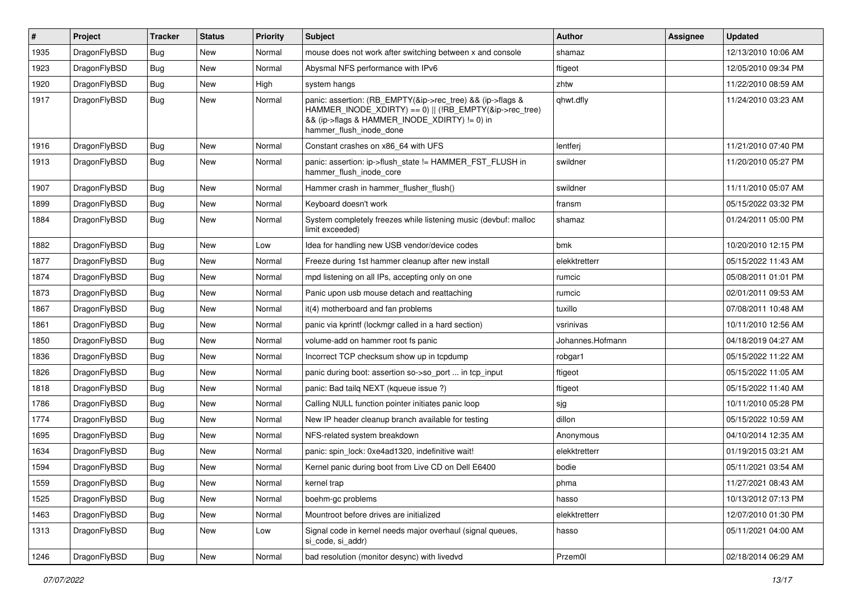| $\pmb{\#}$ | Project      | <b>Tracker</b> | <b>Status</b> | <b>Priority</b> | <b>Subject</b>                                                                                                                                                                                    | <b>Author</b>    | Assignee | <b>Updated</b>      |
|------------|--------------|----------------|---------------|-----------------|---------------------------------------------------------------------------------------------------------------------------------------------------------------------------------------------------|------------------|----------|---------------------|
| 1935       | DragonFlyBSD | Bug            | <b>New</b>    | Normal          | mouse does not work after switching between x and console                                                                                                                                         | shamaz           |          | 12/13/2010 10:06 AM |
| 1923       | DragonFlyBSD | Bug            | <b>New</b>    | Normal          | Abysmal NFS performance with IPv6                                                                                                                                                                 | ftigeot          |          | 12/05/2010 09:34 PM |
| 1920       | DragonFlyBSD | <b>Bug</b>     | <b>New</b>    | High            | system hangs                                                                                                                                                                                      | zhtw             |          | 11/22/2010 08:59 AM |
| 1917       | DragonFlyBSD | Bug            | <b>New</b>    | Normal          | panic: assertion: (RB_EMPTY(&ip->rec_tree) && (ip->flags &<br>HAMMER_INODE_XDIRTY) == 0)    (!RB_EMPTY(&ip->rec_tree)<br>&& (ip->flags & HAMMER_INODE_XDIRTY) != 0) in<br>hammer_flush_inode_done | qhwt.dfly        |          | 11/24/2010 03:23 AM |
| 1916       | DragonFlyBSD | <b>Bug</b>     | <b>New</b>    | Normal          | Constant crashes on x86_64 with UFS                                                                                                                                                               | lentferj         |          | 11/21/2010 07:40 PM |
| 1913       | DragonFlyBSD | Bug            | <b>New</b>    | Normal          | panic: assertion: ip->flush_state != HAMMER_FST_FLUSH in<br>hammer_flush_inode_core                                                                                                               | swildner         |          | 11/20/2010 05:27 PM |
| 1907       | DragonFlyBSD | <b>Bug</b>     | <b>New</b>    | Normal          | Hammer crash in hammer_flusher_flush()                                                                                                                                                            | swildner         |          | 11/11/2010 05:07 AM |
| 1899       | DragonFlyBSD | Bug            | <b>New</b>    | Normal          | Keyboard doesn't work                                                                                                                                                                             | fransm           |          | 05/15/2022 03:32 PM |
| 1884       | DragonFlyBSD | <b>Bug</b>     | <b>New</b>    | Normal          | System completely freezes while listening music (devbuf: malloc<br>limit exceeded)                                                                                                                | shamaz           |          | 01/24/2011 05:00 PM |
| 1882       | DragonFlyBSD | Bug            | <b>New</b>    | Low             | Idea for handling new USB vendor/device codes                                                                                                                                                     | bmk              |          | 10/20/2010 12:15 PM |
| 1877       | DragonFlyBSD | <b>Bug</b>     | <b>New</b>    | Normal          | Freeze during 1st hammer cleanup after new install                                                                                                                                                | elekktretterr    |          | 05/15/2022 11:43 AM |
| 1874       | DragonFlyBSD | <b>Bug</b>     | <b>New</b>    | Normal          | mpd listening on all IPs, accepting only on one                                                                                                                                                   | rumcic           |          | 05/08/2011 01:01 PM |
| 1873       | DragonFlyBSD | <b>Bug</b>     | <b>New</b>    | Normal          | Panic upon usb mouse detach and reattaching                                                                                                                                                       | rumcic           |          | 02/01/2011 09:53 AM |
| 1867       | DragonFlyBSD | <b>Bug</b>     | <b>New</b>    | Normal          | it(4) motherboard and fan problems                                                                                                                                                                | tuxillo          |          | 07/08/2011 10:48 AM |
| 1861       | DragonFlyBSD | Bug            | New           | Normal          | panic via kprintf (lockmgr called in a hard section)                                                                                                                                              | vsrinivas        |          | 10/11/2010 12:56 AM |
| 1850       | DragonFlyBSD | <b>Bug</b>     | <b>New</b>    | Normal          | volume-add on hammer root fs panic                                                                                                                                                                | Johannes.Hofmann |          | 04/18/2019 04:27 AM |
| 1836       | DragonFlyBSD | <b>Bug</b>     | <b>New</b>    | Normal          | Incorrect TCP checksum show up in tcpdump                                                                                                                                                         | robgar1          |          | 05/15/2022 11:22 AM |
| 1826       | DragonFlyBSD | Bug            | <b>New</b>    | Normal          | panic during boot: assertion so->so_port  in tcp_input                                                                                                                                            | ftigeot          |          | 05/15/2022 11:05 AM |
| 1818       | DragonFlyBSD | <b>Bug</b>     | <b>New</b>    | Normal          | panic: Bad tailq NEXT (kqueue issue ?)                                                                                                                                                            | ftigeot          |          | 05/15/2022 11:40 AM |
| 1786       | DragonFlyBSD | Bug            | <b>New</b>    | Normal          | Calling NULL function pointer initiates panic loop                                                                                                                                                | sjg              |          | 10/11/2010 05:28 PM |
| 1774       | DragonFlyBSD | Bug            | <b>New</b>    | Normal          | New IP header cleanup branch available for testing                                                                                                                                                | dillon           |          | 05/15/2022 10:59 AM |
| 1695       | DragonFlyBSD | <b>Bug</b>     | <b>New</b>    | Normal          | NFS-related system breakdown                                                                                                                                                                      | Anonymous        |          | 04/10/2014 12:35 AM |
| 1634       | DragonFlyBSD | Bug            | <b>New</b>    | Normal          | panic: spin_lock: 0xe4ad1320, indefinitive wait!                                                                                                                                                  | elekktretterr    |          | 01/19/2015 03:21 AM |
| 1594       | DragonFlyBSD | <b>Bug</b>     | New           | Normal          | Kernel panic during boot from Live CD on Dell E6400                                                                                                                                               | bodie            |          | 05/11/2021 03:54 AM |
| 1559       | DragonFlyBSD | Bug            | New           | Normal          | kernel trap                                                                                                                                                                                       | phma             |          | 11/27/2021 08:43 AM |
| 1525       | DragonFlyBSD | <b>Bug</b>     | New           | Normal          | boehm-gc problems                                                                                                                                                                                 | hasso            |          | 10/13/2012 07:13 PM |
| 1463       | DragonFlyBSD | <b>Bug</b>     | New           | Normal          | Mountroot before drives are initialized                                                                                                                                                           | elekktretterr    |          | 12/07/2010 01:30 PM |
| 1313       | DragonFlyBSD | Bug            | New           | Low             | Signal code in kernel needs major overhaul (signal queues,<br>si_code, si_addr)                                                                                                                   | hasso            |          | 05/11/2021 04:00 AM |
| 1246       | DragonFlyBSD | <b>Bug</b>     | New           | Normal          | bad resolution (monitor desync) with livedvd                                                                                                                                                      | Przem0l          |          | 02/18/2014 06:29 AM |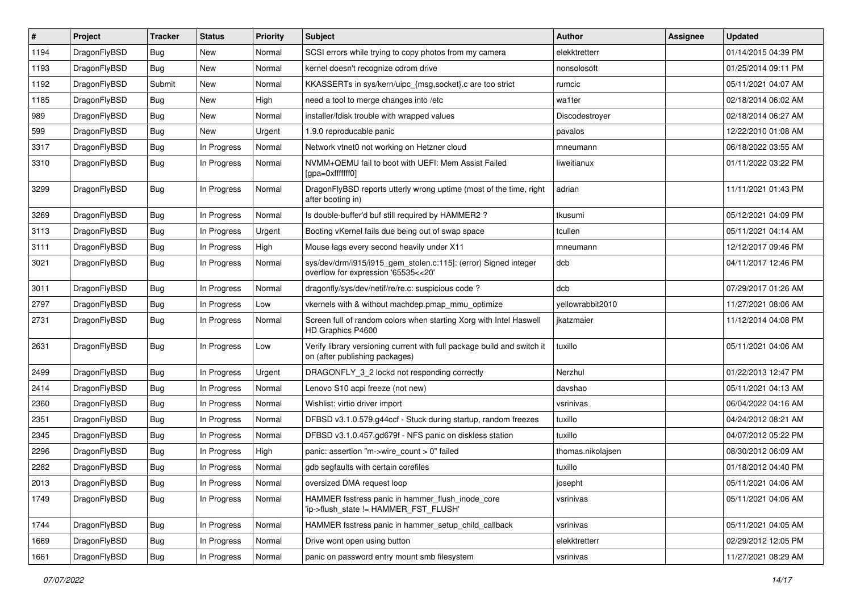| $\sharp$ | Project      | <b>Tracker</b> | <b>Status</b> | <b>Priority</b> | Subject                                                                                                   | <b>Author</b>     | Assignee | <b>Updated</b>      |
|----------|--------------|----------------|---------------|-----------------|-----------------------------------------------------------------------------------------------------------|-------------------|----------|---------------------|
| 1194     | DragonFlyBSD | <b>Bug</b>     | New           | Normal          | SCSI errors while trying to copy photos from my camera                                                    | elekktretterr     |          | 01/14/2015 04:39 PM |
| 1193     | DragonFlyBSD | <b>Bug</b>     | New           | Normal          | kernel doesn't recognize cdrom drive                                                                      | nonsolosoft       |          | 01/25/2014 09:11 PM |
| 1192     | DragonFlyBSD | Submit         | New           | Normal          | KKASSERTs in sys/kern/uipc_{msg,socket}.c are too strict                                                  | rumcic            |          | 05/11/2021 04:07 AM |
| 1185     | DragonFlyBSD | Bug            | New           | High            | need a tool to merge changes into /etc                                                                    | wa1ter            |          | 02/18/2014 06:02 AM |
| 989      | DragonFlyBSD | <b>Bug</b>     | New           | Normal          | installer/fdisk trouble with wrapped values                                                               | Discodestroyer    |          | 02/18/2014 06:27 AM |
| 599      | DragonFlyBSD | <b>Bug</b>     | <b>New</b>    | Urgent          | 1.9.0 reproducable panic                                                                                  | pavalos           |          | 12/22/2010 01:08 AM |
| 3317     | DragonFlyBSD | <b>Bug</b>     | In Progress   | Normal          | Network vtnet0 not working on Hetzner cloud                                                               | mneumann          |          | 06/18/2022 03:55 AM |
| 3310     | DragonFlyBSD | <b>Bug</b>     | In Progress   | Normal          | NVMM+QEMU fail to boot with UEFI: Mem Assist Failed<br>[gpa=0xfffffff0]                                   | liweitianux       |          | 01/11/2022 03:22 PM |
| 3299     | DragonFlyBSD | <b>Bug</b>     | In Progress   | Normal          | DragonFlyBSD reports utterly wrong uptime (most of the time, right<br>after booting in)                   | adrian            |          | 11/11/2021 01:43 PM |
| 3269     | DragonFlyBSD | <b>Bug</b>     | In Progress   | Normal          | Is double-buffer'd buf still required by HAMMER2 ?                                                        | tkusumi           |          | 05/12/2021 04:09 PM |
| 3113     | DragonFlyBSD | <b>Bug</b>     | In Progress   | Urgent          | Booting vKernel fails due being out of swap space                                                         | tcullen           |          | 05/11/2021 04:14 AM |
| 3111     | DragonFlyBSD | <b>Bug</b>     | In Progress   | High            | Mouse lags every second heavily under X11                                                                 | mneumann          |          | 12/12/2017 09:46 PM |
| 3021     | DragonFlyBSD | <b>Bug</b>     | In Progress   | Normal          | sys/dev/drm/i915/i915_gem_stolen.c:115]: (error) Signed integer<br>overflow for expression '65535<<20'    | dcb               |          | 04/11/2017 12:46 PM |
| 3011     | DragonFlyBSD | <b>Bug</b>     | In Progress   | Normal          | dragonfly/sys/dev/netif/re/re.c: suspicious code?                                                         | dcb               |          | 07/29/2017 01:26 AM |
| 2797     | DragonFlyBSD | <b>Bug</b>     | In Progress   | Low             | vkernels with & without machdep.pmap_mmu_optimize                                                         | yellowrabbit2010  |          | 11/27/2021 08:06 AM |
| 2731     | DragonFlyBSD | <b>Bug</b>     | In Progress   | Normal          | Screen full of random colors when starting Xorg with Intel Haswell<br>HD Graphics P4600                   | jkatzmaier        |          | 11/12/2014 04:08 PM |
| 2631     | DragonFlyBSD | <b>Bug</b>     | In Progress   | Low             | Verify library versioning current with full package build and switch it<br>on (after publishing packages) | tuxillo           |          | 05/11/2021 04:06 AM |
| 2499     | DragonFlyBSD | <b>Bug</b>     | In Progress   | Urgent          | DRAGONFLY_3_2 lockd not responding correctly                                                              | Nerzhul           |          | 01/22/2013 12:47 PM |
| 2414     | DragonFlyBSD | Bug            | In Progress   | Normal          | Lenovo S10 acpi freeze (not new)                                                                          | davshao           |          | 05/11/2021 04:13 AM |
| 2360     | DragonFlyBSD | <b>Bug</b>     | In Progress   | Normal          | Wishlist: virtio driver import                                                                            | vsrinivas         |          | 06/04/2022 04:16 AM |
| 2351     | DragonFlyBSD | <b>Bug</b>     | In Progress   | Normal          | DFBSD v3.1.0.579.g44ccf - Stuck during startup, random freezes                                            | tuxillo           |          | 04/24/2012 08:21 AM |
| 2345     | DragonFlyBSD | Bug            | In Progress   | Normal          | DFBSD v3.1.0.457.gd679f - NFS panic on diskless station                                                   | tuxillo           |          | 04/07/2012 05:22 PM |
| 2296     | DragonFlyBSD | <b>Bug</b>     | In Progress   | High            | panic: assertion "m->wire_count > 0" failed                                                               | thomas.nikolajsen |          | 08/30/2012 06:09 AM |
| 2282     | DragonFlyBSD | <b>Bug</b>     | In Progress   | Normal          | gdb segfaults with certain corefiles                                                                      | tuxillo           |          | 01/18/2012 04:40 PM |
| 2013     | DragonFlyBSD | <b>Bug</b>     | In Progress   | Normal          | oversized DMA request loop                                                                                | josepht           |          | 05/11/2021 04:06 AM |
| 1749     | DragonFlyBSD | <b>Bug</b>     | In Progress   | Normal          | HAMMER fsstress panic in hammer_flush_inode_core<br>'ip->flush_state != HAMMER_FST_FLUSH'                 | vsrinivas         |          | 05/11/2021 04:06 AM |
| 1744     | DragonFlyBSD | <b>Bug</b>     | In Progress   | Normal          | HAMMER fsstress panic in hammer_setup_child_callback                                                      | vsrinivas         |          | 05/11/2021 04:05 AM |
| 1669     | DragonFlyBSD | <b>Bug</b>     | In Progress   | Normal          | Drive wont open using button                                                                              | elekktretterr     |          | 02/29/2012 12:05 PM |
| 1661     | DragonFlyBSD | <b>Bug</b>     | In Progress   | Normal          | panic on password entry mount smb filesystem                                                              | vsrinivas         |          | 11/27/2021 08:29 AM |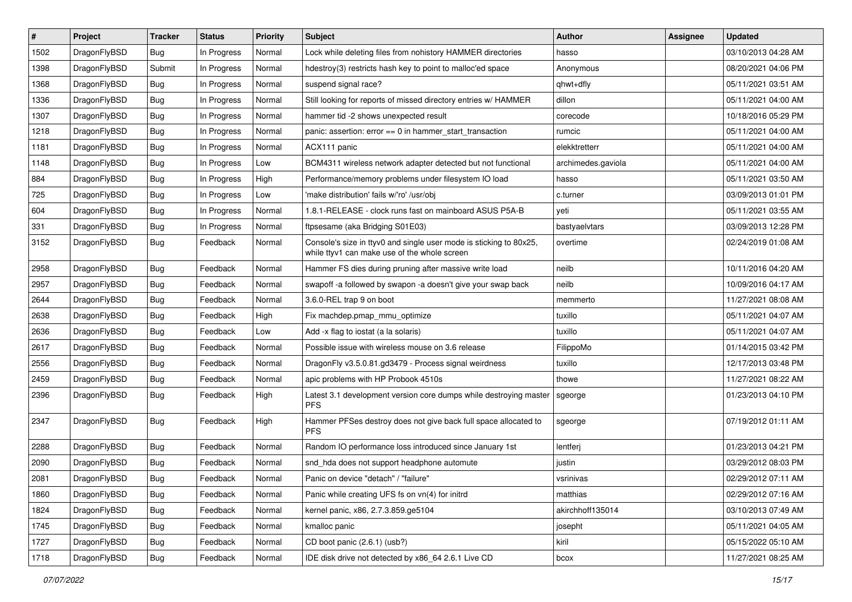| #    | Project      | <b>Tracker</b> | <b>Status</b> | Priority | <b>Subject</b>                                                                                                     | <b>Author</b>      | <b>Assignee</b> | <b>Updated</b>      |
|------|--------------|----------------|---------------|----------|--------------------------------------------------------------------------------------------------------------------|--------------------|-----------------|---------------------|
| 1502 | DragonFlyBSD | Bug            | In Progress   | Normal   | Lock while deleting files from nohistory HAMMER directories                                                        | hasso              |                 | 03/10/2013 04:28 AM |
| 1398 | DragonFlyBSD | Submit         | In Progress   | Normal   | hdestroy(3) restricts hash key to point to malloc'ed space                                                         | Anonymous          |                 | 08/20/2021 04:06 PM |
| 1368 | DragonFlyBSD | <b>Bug</b>     | In Progress   | Normal   | suspend signal race?                                                                                               | qhwt+dfly          |                 | 05/11/2021 03:51 AM |
| 1336 | DragonFlyBSD | <b>Bug</b>     | In Progress   | Normal   | Still looking for reports of missed directory entries w/ HAMMER                                                    | dillon             |                 | 05/11/2021 04:00 AM |
| 1307 | DragonFlyBSD | <b>Bug</b>     | In Progress   | Normal   | hammer tid -2 shows unexpected result                                                                              | corecode           |                 | 10/18/2016 05:29 PM |
| 1218 | DragonFlyBSD | <b>Bug</b>     | In Progress   | Normal   | panic: assertion: $error == 0$ in hammer start transaction                                                         | rumcic             |                 | 05/11/2021 04:00 AM |
| 1181 | DragonFlyBSD | <b>Bug</b>     | In Progress   | Normal   | ACX111 panic                                                                                                       | elekktretterr      |                 | 05/11/2021 04:00 AM |
| 1148 | DragonFlyBSD | <b>Bug</b>     | In Progress   | Low      | BCM4311 wireless network adapter detected but not functional                                                       | archimedes.gaviola |                 | 05/11/2021 04:00 AM |
| 884  | DragonFlyBSD | <b>Bug</b>     | In Progress   | High     | Performance/memory problems under filesystem IO load                                                               | hasso              |                 | 05/11/2021 03:50 AM |
| 725  | DragonFlyBSD | <b>Bug</b>     | In Progress   | Low      | 'make distribution' fails w/'ro' /usr/obj                                                                          | c.turner           |                 | 03/09/2013 01:01 PM |
| 604  | DragonFlyBSD | <b>Bug</b>     | In Progress   | Normal   | 1.8.1-RELEASE - clock runs fast on mainboard ASUS P5A-B                                                            | yeti               |                 | 05/11/2021 03:55 AM |
| 331  | DragonFlyBSD | <b>Bug</b>     | In Progress   | Normal   | ftpsesame (aka Bridging S01E03)                                                                                    | bastyaelvtars      |                 | 03/09/2013 12:28 PM |
| 3152 | DragonFlyBSD | <b>Bug</b>     | Feedback      | Normal   | Console's size in ttyv0 and single user mode is sticking to 80x25,<br>while ttyv1 can make use of the whole screen | overtime           |                 | 02/24/2019 01:08 AM |
| 2958 | DragonFlyBSD | <b>Bug</b>     | Feedback      | Normal   | Hammer FS dies during pruning after massive write load                                                             | neilb              |                 | 10/11/2016 04:20 AM |
| 2957 | DragonFlyBSD | <b>Bug</b>     | Feedback      | Normal   | swapoff -a followed by swapon -a doesn't give your swap back                                                       | neilb              |                 | 10/09/2016 04:17 AM |
| 2644 | DragonFlyBSD | <b>Bug</b>     | Feedback      | Normal   | 3.6.0-REL trap 9 on boot                                                                                           | memmerto           |                 | 11/27/2021 08:08 AM |
| 2638 | DragonFlyBSD | <b>Bug</b>     | Feedback      | High     | Fix machdep.pmap_mmu_optimize                                                                                      | tuxillo            |                 | 05/11/2021 04:07 AM |
| 2636 | DragonFlyBSD | <b>Bug</b>     | Feedback      | Low      | Add -x flag to iostat (a la solaris)                                                                               | tuxillo            |                 | 05/11/2021 04:07 AM |
| 2617 | DragonFlyBSD | <b>Bug</b>     | Feedback      | Normal   | Possible issue with wireless mouse on 3.6 release                                                                  | FilippoMo          |                 | 01/14/2015 03:42 PM |
| 2556 | DragonFlyBSD | <b>Bug</b>     | Feedback      | Normal   | DragonFly v3.5.0.81.gd3479 - Process signal weirdness                                                              | tuxillo            |                 | 12/17/2013 03:48 PM |
| 2459 | DragonFlyBSD | <b>Bug</b>     | Feedback      | Normal   | apic problems with HP Probook 4510s                                                                                | thowe              |                 | 11/27/2021 08:22 AM |
| 2396 | DragonFlyBSD | <b>Bug</b>     | Feedback      | High     | Latest 3.1 development version core dumps while destroying master<br><b>PFS</b>                                    | sgeorge            |                 | 01/23/2013 04:10 PM |
| 2347 | DragonFlyBSD | <b>Bug</b>     | Feedback      | High     | Hammer PFSes destroy does not give back full space allocated to<br><b>PFS</b>                                      | sgeorge            |                 | 07/19/2012 01:11 AM |
| 2288 | DragonFlyBSD | <b>Bug</b>     | Feedback      | Normal   | Random IO performance loss introduced since January 1st                                                            | lentferj           |                 | 01/23/2013 04:21 PM |
| 2090 | DragonFlyBSD | <b>Bug</b>     | Feedback      | Normal   | snd_hda does not support headphone automute                                                                        | justin             |                 | 03/29/2012 08:03 PM |
| 2081 | DragonFlyBSD | Bug            | Feedback      | Normal   | Panic on device "detach" / "failure"                                                                               | vsrinivas          |                 | 02/29/2012 07:11 AM |
| 1860 | DragonFlyBSD | <b>Bug</b>     | Feedback      | Normal   | Panic while creating UFS fs on vn(4) for initrd                                                                    | matthias           |                 | 02/29/2012 07:16 AM |
| 1824 | DragonFlyBSD | <b>Bug</b>     | Feedback      | Normal   | kernel panic, x86, 2.7.3.859.ge5104                                                                                | akirchhoff135014   |                 | 03/10/2013 07:49 AM |
| 1745 | DragonFlyBSD | <b>Bug</b>     | Feedback      | Normal   | kmalloc panic                                                                                                      | josepht            |                 | 05/11/2021 04:05 AM |
| 1727 | DragonFlyBSD | <b>Bug</b>     | Feedback      | Normal   | CD boot panic (2.6.1) (usb?)                                                                                       | kiril              |                 | 05/15/2022 05:10 AM |
| 1718 | DragonFlyBSD | <b>Bug</b>     | Feedback      | Normal   | IDE disk drive not detected by x86_64 2.6.1 Live CD                                                                | bcox               |                 | 11/27/2021 08:25 AM |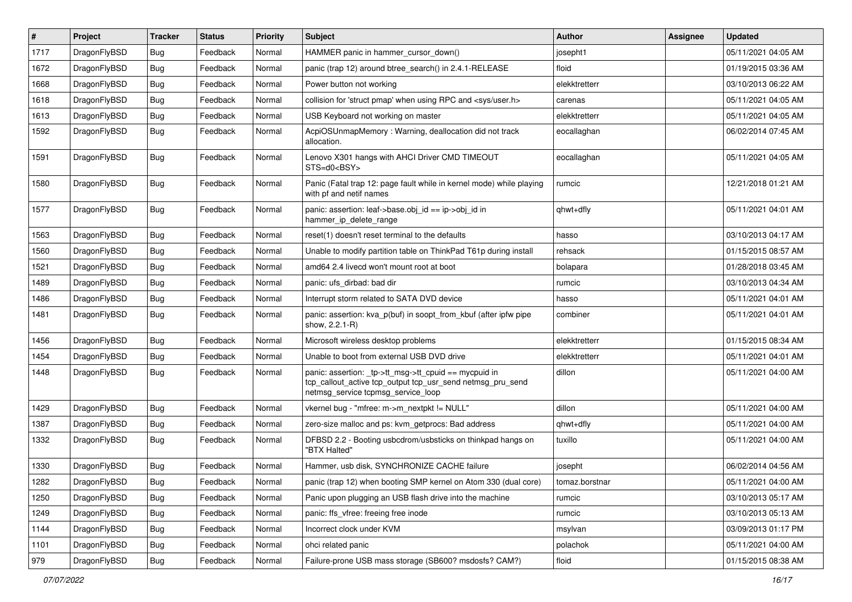| #    | Project      | <b>Tracker</b> | <b>Status</b> | <b>Priority</b> | <b>Subject</b>                                                                                                                                            | <b>Author</b>  | <b>Assignee</b> | <b>Updated</b>      |
|------|--------------|----------------|---------------|-----------------|-----------------------------------------------------------------------------------------------------------------------------------------------------------|----------------|-----------------|---------------------|
| 1717 | DragonFlyBSD | <b>Bug</b>     | Feedback      | Normal          | HAMMER panic in hammer cursor down()                                                                                                                      | josepht1       |                 | 05/11/2021 04:05 AM |
| 1672 | DragonFlyBSD | <b>Bug</b>     | Feedback      | Normal          | panic (trap 12) around btree_search() in 2.4.1-RELEASE                                                                                                    | floid          |                 | 01/19/2015 03:36 AM |
| 1668 | DragonFlyBSD | <b>Bug</b>     | Feedback      | Normal          | Power button not working                                                                                                                                  | elekktretterr  |                 | 03/10/2013 06:22 AM |
| 1618 | DragonFlyBSD | Bug            | Feedback      | Normal          | collision for 'struct pmap' when using RPC and <sys user.h=""></sys>                                                                                      | carenas        |                 | 05/11/2021 04:05 AM |
| 1613 | DragonFlyBSD | <b>Bug</b>     | Feedback      | Normal          | USB Keyboard not working on master                                                                                                                        | elekktretterr  |                 | 05/11/2021 04:05 AM |
| 1592 | DragonFlyBSD | Bug            | Feedback      | Normal          | AcpiOSUnmapMemory: Warning, deallocation did not track<br>allocation.                                                                                     | eocallaghan    |                 | 06/02/2014 07:45 AM |
| 1591 | DragonFlyBSD | <b>Bug</b>     | Feedback      | Normal          | Lenovo X301 hangs with AHCI Driver CMD TIMEOUT<br>STS=d0 <bsy></bsy>                                                                                      | eocallaghan    |                 | 05/11/2021 04:05 AM |
| 1580 | DragonFlyBSD | <b>Bug</b>     | Feedback      | Normal          | Panic (Fatal trap 12: page fault while in kernel mode) while playing<br>with pf and netif names                                                           | rumcic         |                 | 12/21/2018 01:21 AM |
| 1577 | DragonFlyBSD | Bug            | Feedback      | Normal          | panic: assertion: leaf->base.obj_id == ip->obj_id in<br>hammer ip delete range                                                                            | qhwt+dfly      |                 | 05/11/2021 04:01 AM |
| 1563 | DragonFlyBSD | <b>Bug</b>     | Feedback      | Normal          | reset(1) doesn't reset terminal to the defaults                                                                                                           | hasso          |                 | 03/10/2013 04:17 AM |
| 1560 | DragonFlyBSD | Bug            | Feedback      | Normal          | Unable to modify partition table on ThinkPad T61p during install                                                                                          | rehsack        |                 | 01/15/2015 08:57 AM |
| 1521 | DragonFlyBSD | <b>Bug</b>     | Feedback      | Normal          | amd64 2.4 livecd won't mount root at boot                                                                                                                 | bolapara       |                 | 01/28/2018 03:45 AM |
| 1489 | DragonFlyBSD | <b>Bug</b>     | Feedback      | Normal          | panic: ufs dirbad: bad dir                                                                                                                                | rumcic         |                 | 03/10/2013 04:34 AM |
| 1486 | DragonFlyBSD | Bug            | Feedback      | Normal          | Interrupt storm related to SATA DVD device                                                                                                                | hasso          |                 | 05/11/2021 04:01 AM |
| 1481 | DragonFlyBSD | <b>Bug</b>     | Feedback      | Normal          | panic: assertion: kva_p(buf) in soopt_from_kbuf (after ipfw pipe<br>show, 2.2.1-R)                                                                        | combiner       |                 | 05/11/2021 04:01 AM |
| 1456 | DragonFlyBSD | <b>Bug</b>     | Feedback      | Normal          | Microsoft wireless desktop problems                                                                                                                       | elekktretterr  |                 | 01/15/2015 08:34 AM |
| 1454 | DragonFlyBSD | <b>Bug</b>     | Feedback      | Normal          | Unable to boot from external USB DVD drive                                                                                                                | elekktretterr  |                 | 05/11/2021 04:01 AM |
| 1448 | DragonFlyBSD | Bug            | Feedback      | Normal          | panic: assertion: _tp->tt_msg->tt_cpuid == mycpuid in<br>tcp_callout_active tcp_output tcp_usr_send netmsg_pru_send<br>netmsg service tcpmsg service loop | dillon         |                 | 05/11/2021 04:00 AM |
| 1429 | DragonFlyBSD | Bug            | Feedback      | Normal          | vkernel bug - "mfree: m->m_nextpkt != NULL"                                                                                                               | dillon         |                 | 05/11/2021 04:00 AM |
| 1387 | DragonFlyBSD | <b>Bug</b>     | Feedback      | Normal          | zero-size malloc and ps: kvm_getprocs: Bad address                                                                                                        | qhwt+dfly      |                 | 05/11/2021 04:00 AM |
| 1332 | DragonFlyBSD | Bug            | Feedback      | Normal          | DFBSD 2.2 - Booting usbcdrom/usbsticks on thinkpad hangs on<br>"BTX Halted"                                                                               | tuxillo        |                 | 05/11/2021 04:00 AM |
| 1330 | DragonFlyBSD | <b>Bug</b>     | Feedback      | Normal          | Hammer, usb disk, SYNCHRONIZE CACHE failure                                                                                                               | josepht        |                 | 06/02/2014 04:56 AM |
| 1282 | DragonFlyBSD | Bug            | Feedback      | Normal          | panic (trap 12) when booting SMP kernel on Atom 330 (dual core)                                                                                           | tomaz.borstnar |                 | 05/11/2021 04:00 AM |
| 1250 | DragonFlyBSD | <b>Bug</b>     | Feedback      | Normal          | Panic upon plugging an USB flash drive into the machine                                                                                                   | rumcic         |                 | 03/10/2013 05:17 AM |
| 1249 | DragonFlyBSD | <b>Bug</b>     | Feedback      | Normal          | panic: ffs_vfree: freeing free inode                                                                                                                      | rumcic         |                 | 03/10/2013 05:13 AM |
| 1144 | DragonFlyBSD | Bug            | Feedback      | Normal          | Incorrect clock under KVM                                                                                                                                 | msylvan        |                 | 03/09/2013 01:17 PM |
| 1101 | DragonFlyBSD | <b>Bug</b>     | Feedback      | Normal          | ohci related panic                                                                                                                                        | polachok       |                 | 05/11/2021 04:00 AM |
| 979  | DragonFlyBSD | <b>Bug</b>     | Feedback      | Normal          | Failure-prone USB mass storage (SB600? msdosfs? CAM?)                                                                                                     | floid          |                 | 01/15/2015 08:38 AM |